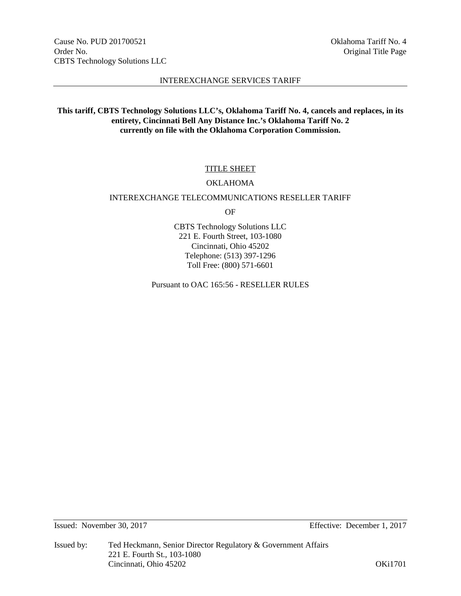# **This tariff, CBTS Technology Solutions LLC's, Oklahoma Tariff No. 4, cancels and replaces, in its entirety, Cincinnati Bell Any Distance Inc.'s Oklahoma Tariff No. 2 currently on file with the Oklahoma Corporation Commission.**

# TITLE SHEET

# OKLAHOMA

## INTEREXCHANGE TELECOMMUNICATIONS RESELLER TARIFF

OF

CBTS Technology Solutions LLC 221 E. Fourth Street, 103-1080 Cincinnati, Ohio 45202 Telephone: (513) 397-1296 Toll Free: (800) 571-6601

Pursuant to OAC 165:56 - RESELLER RULES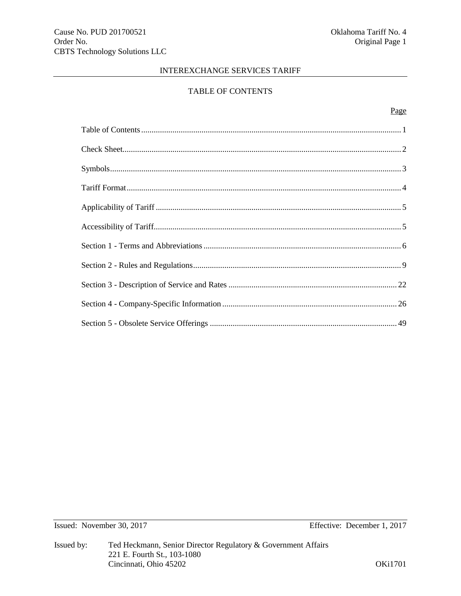# TABLE OF CONTENTS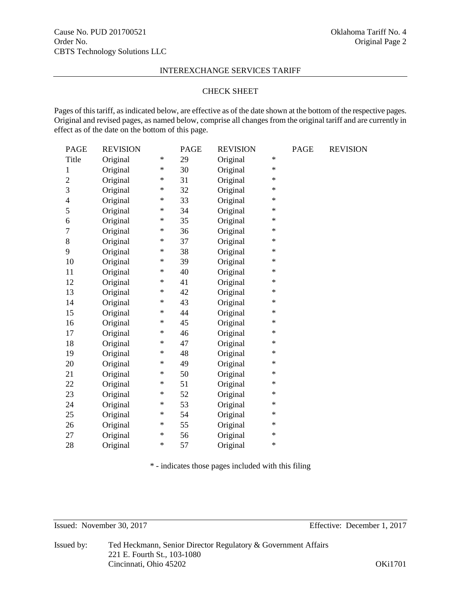## CHECK SHEET

Pages of this tariff, as indicated below, are effective as of the date shown at the bottom of the respective pages. Original and revised pages, as named below, comprise all changes from the original tariff and are currently in effect as of the date on the bottom of this page.

| <b>PAGE</b>             | <b>REVISION</b> |        | <b>PAGE</b> | <b>REVISION</b> |        | <b>PAGE</b> | <b>REVISION</b> |
|-------------------------|-----------------|--------|-------------|-----------------|--------|-------------|-----------------|
| Title                   | Original        | $\ast$ | 29          | Original        | $\ast$ |             |                 |
| $\mathbf{1}$            | Original        | ∗      | 30          | Original        | $\ast$ |             |                 |
| $\overline{c}$          | Original        | $\ast$ | 31          | Original        | $\ast$ |             |                 |
| 3                       | Original        | $\ast$ | 32          | Original        | $\ast$ |             |                 |
| $\overline{\mathbf{4}}$ | Original        | $\ast$ | 33          | Original        | $\ast$ |             |                 |
| 5                       | Original        | ∗      | 34          | Original        | $\ast$ |             |                 |
| 6                       | Original        | $\ast$ | 35          | Original        | $\ast$ |             |                 |
| $\tau$                  | Original        | $\ast$ | 36          | Original        | $\ast$ |             |                 |
| 8                       | Original        | ∗      | 37          | Original        | $\ast$ |             |                 |
| 9                       | Original        | $\ast$ | 38          | Original        | $\ast$ |             |                 |
| 10                      | Original        | $\ast$ | 39          | Original        | $\ast$ |             |                 |
| 11                      | Original        | $\ast$ | 40          | Original        | $\ast$ |             |                 |
| 12                      | Original        | $\ast$ | 41          | Original        | $\ast$ |             |                 |
| 13                      | Original        | ∗      | 42          | Original        | $\ast$ |             |                 |
| 14                      | Original        | $\ast$ | 43          | Original        | $\ast$ |             |                 |
| 15                      | Original        | $\ast$ | 44          | Original        | $\ast$ |             |                 |
| 16                      | Original        | $\ast$ | 45          | Original        | $\ast$ |             |                 |
| 17                      | Original        | $\ast$ | 46          | Original        | $\ast$ |             |                 |
| 18                      | Original        | $\ast$ | 47          | Original        | $\ast$ |             |                 |
| 19                      | Original        | $\ast$ | 48          | Original        | $\ast$ |             |                 |
| 20                      | Original        | $\ast$ | 49          | Original        | $\ast$ |             |                 |
| 21                      | Original        | $\ast$ | 50          | Original        | $\ast$ |             |                 |
| 22                      | Original        | $\ast$ | 51          | Original        | $\ast$ |             |                 |
| 23                      | Original        | $\ast$ | 52          | Original        | $\ast$ |             |                 |
| 24                      | Original        | $\ast$ | 53          | Original        | $\ast$ |             |                 |
| 25                      | Original        | ∗      | 54          | Original        | $\ast$ |             |                 |
| 26                      | Original        | $\ast$ | 55          | Original        | $\ast$ |             |                 |
| 27                      | Original        | $\ast$ | 56          | Original        | $\ast$ |             |                 |
| 28                      | Original        | $\ast$ | 57          | Original        | $\ast$ |             |                 |

\* - indicates those pages included with this filing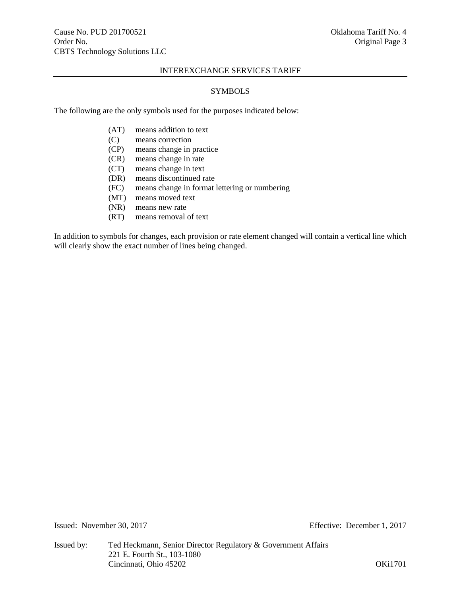# SYMBOLS

The following are the only symbols used for the purposes indicated below:

- (AT) means addition to text
- (C) means correction
- (CP) means change in practice
- (CR) means change in rate
- (CT) means change in text
- (DR) means discontinued rate
- (FC) means change in format lettering or numbering
- (MT) means moved text
- (NR) means new rate
- (RT) means removal of text

In addition to symbols for changes, each provision or rate element changed will contain a vertical line which will clearly show the exact number of lines being changed.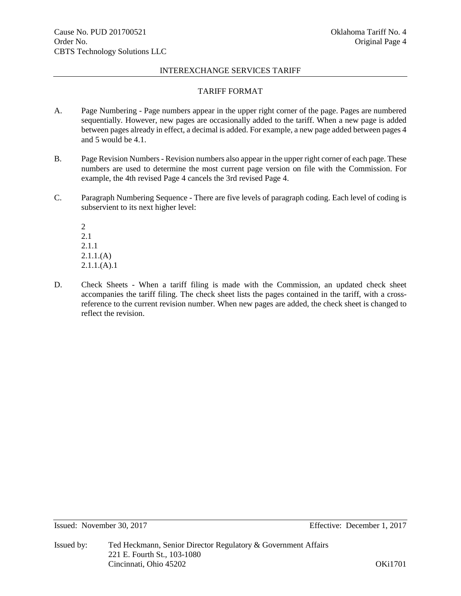# TARIFF FORMAT

- A. Page Numbering Page numbers appear in the upper right corner of the page. Pages are numbered sequentially. However, new pages are occasionally added to the tariff. When a new page is added between pages already in effect, a decimal is added. For example, a new page added between pages 4 and 5 would be 4.1.
- B. Page Revision Numbers Revision numbers also appear in the upper right corner of each page. These numbers are used to determine the most current page version on file with the Commission. For example, the 4th revised Page 4 cancels the 3rd revised Page 4.
- C. Paragraph Numbering Sequence There are five levels of paragraph coding. Each level of coding is subservient to its next higher level:

2 2.1 2.1.1 2.1.1.(A)  $2.1.1(A).1$ 

D. Check Sheets - When a tariff filing is made with the Commission, an updated check sheet accompanies the tariff filing. The check sheet lists the pages contained in the tariff, with a crossreference to the current revision number. When new pages are added, the check sheet is changed to reflect the revision.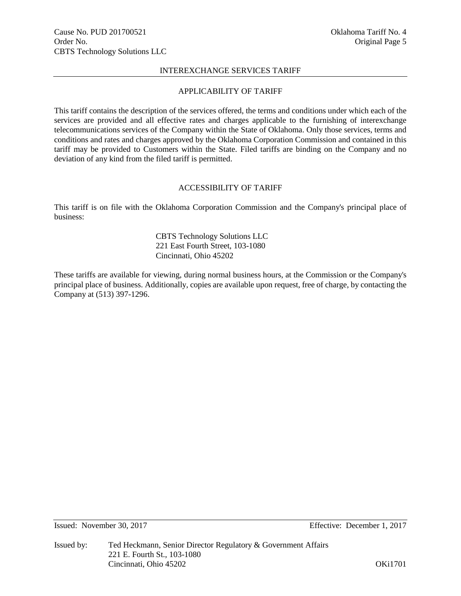# APPLICABILITY OF TARIFF

This tariff contains the description of the services offered, the terms and conditions under which each of the services are provided and all effective rates and charges applicable to the furnishing of interexchange telecommunications services of the Company within the State of Oklahoma. Only those services, terms and conditions and rates and charges approved by the Oklahoma Corporation Commission and contained in this tariff may be provided to Customers within the State. Filed tariffs are binding on the Company and no deviation of any kind from the filed tariff is permitted.

# ACCESSIBILITY OF TARIFF

This tariff is on file with the Oklahoma Corporation Commission and the Company's principal place of business:

# CBTS Technology Solutions LLC 221 East Fourth Street, 103-1080 Cincinnati, Ohio 45202

These tariffs are available for viewing, during normal business hours, at the Commission or the Company's principal place of business. Additionally, copies are available upon request, free of charge, by contacting the Company at (513) 397-1296.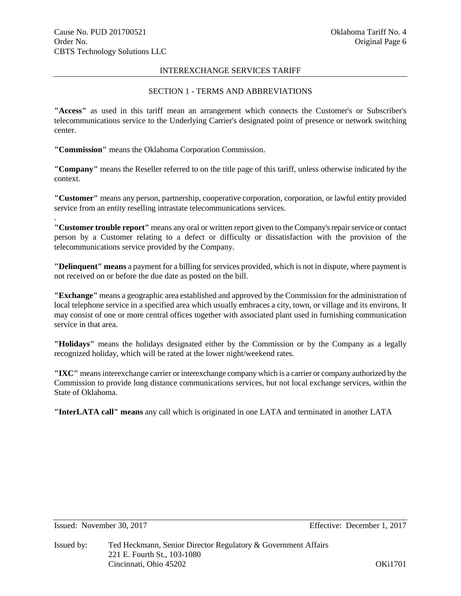.

# INTEREXCHANGE SERVICES TARIFF

# SECTION 1 - TERMS AND ABBREVIATIONS

**"Access"** as used in this tariff mean an arrangement which connects the Customer's or Subscriber's telecommunications service to the Underlying Carrier's designated point of presence or network switching center.

**"Commission"** means the Oklahoma Corporation Commission.

**"Company"** means the Reseller referred to on the title page of this tariff, unless otherwise indicated by the context.

**"Customer"** means any person, partnership, cooperative corporation, corporation, or lawful entity provided service from an entity reselling intrastate telecommunications services.

**"Customer trouble report"** means any oral or written report given to the Company's repair service or contact person by a Customer relating to a defect or difficulty or dissatisfaction with the provision of the telecommunications service provided by the Company.

**"Delinquent" means** a payment for a billing for services provided, which is not in dispute, where payment is not received on or before the due date as posted on the bill.

**"Exchange"** means a geographic area established and approved by the Commission for the administration of local telephone service in a specified area which usually embraces a city, town, or village and its environs. It may consist of one or more central offices together with associated plant used in furnishing communication service in that area.

**"Holidays"** means the holidays designated either by the Commission or by the Company as a legally recognized holiday, which will be rated at the lower night/weekend rates.

**"IXC"** means interexchange carrier or interexchange company which is a carrier or company authorized by the Commission to provide long distance communications services, but not local exchange services, within the State of Oklahoma.

**"InterLATA call" means** any call which is originated in one LATA and terminated in another LATA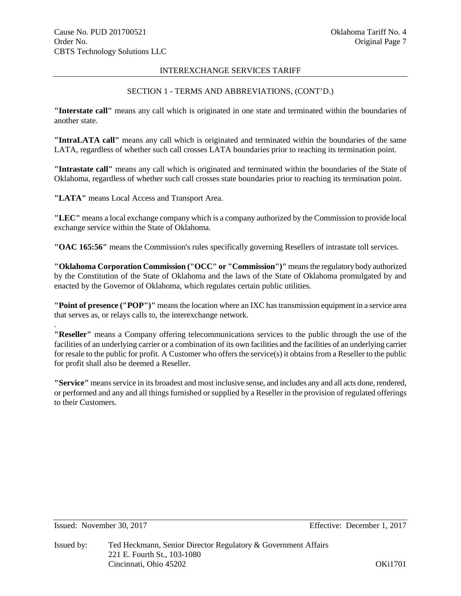# SECTION 1 - TERMS AND ABBREVIATIONS, (CONT'D.)

**"Interstate call"** means any call which is originated in one state and terminated within the boundaries of another state.

**"IntraLATA call"** means any call which is originated and terminated within the boundaries of the same LATA, regardless of whether such call crosses LATA boundaries prior to reaching its termination point.

**"Intrastate call"** means any call which is originated and terminated within the boundaries of the State of Oklahoma, regardless of whether such call crosses state boundaries prior to reaching its termination point.

**"LATA"** means Local Access and Transport Area.

**"LEC"** means a local exchange company which is a company authorized by the Commission to provide local exchange service within the State of Oklahoma.

**"OAC 165:56"** means the Commission's rules specifically governing Resellers of intrastate toll services.

**"Oklahoma Corporation Commission ("OCC" or "Commission")"** means the regulatory body authorized by the Constitution of the State of Oklahoma and the laws of the State of Oklahoma promulgated by and enacted by the Governor of Oklahoma, which regulates certain public utilities.

**"Point of presence ("POP")"** means the location where an IXC has transmission equipment in a service area that serves as, or relays calls to, the interexchange network.

**"Reseller"** means a Company offering telecommunications services to the public through the use of the facilities of an underlying carrier or a combination of its own facilities and the facilities of an underlying carrier for resale to the public for profit. A Customer who offers the service(s) it obtains from a Reseller to the public for profit shall also be deemed a Reseller.

**"Service"** means service in its broadest and most inclusive sense, and includes any and all acts done, rendered, or performed and any and all things furnished or supplied by a Reseller in the provision of regulated offerings to their Customers.

.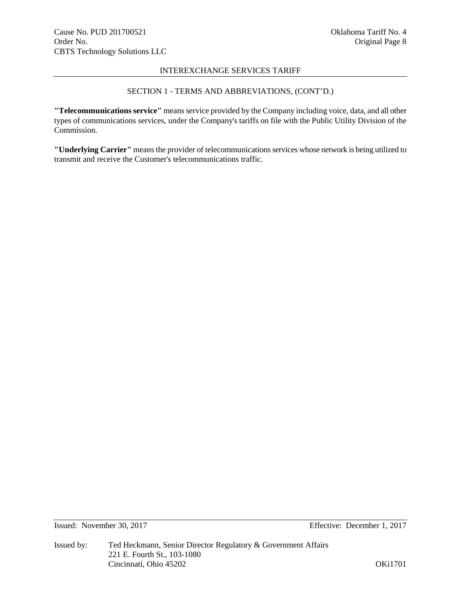# SECTION 1 - TERMS AND ABBREVIATIONS, (CONT'D.)

**"Telecommunications service"** means service provided by the Company including voice, data, and all other types of communications services, under the Company's tariffs on file with the Public Utility Division of the Commission.

**"Underlying Carrier"** means the provider of telecommunications services whose network is being utilized to transmit and receive the Customer's telecommunications traffic.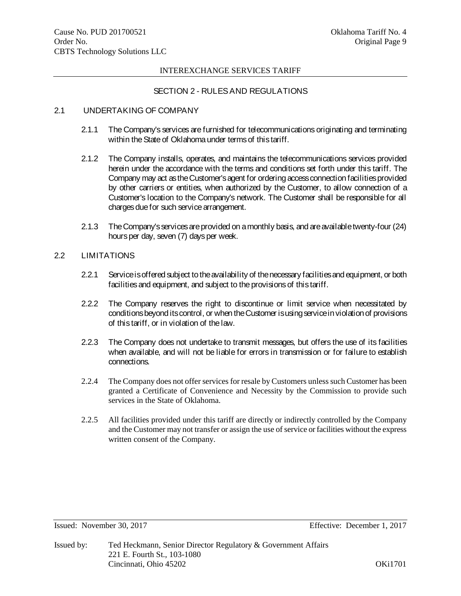# SECTION 2 - RULES AND REGULATIONS

## 2.1 UNDERTAKING OF COMPANY

- 2.1.1 The Company's services are furnished for telecommunications originating and terminating within the State of Oklahoma under terms of this tariff.
- 2.1.2 The Company installs, operates, and maintains the telecommunications services provided herein under the accordance with the terms and conditions set forth under this tariff. The Company may act as the Customer's agent for ordering access connection facilities provided by other carriers or entities, when authorized by the Customer, to allow connection of a Customer's location to the Company's network. The Customer shall be responsible for all charges due for such service arrangement.
- 2.1.3 The Company's services are provided on a monthly basis, and are available twenty-four (24) hours per day, seven (7) days per week.

# 2.2 LIMITATIONS

- 2.2.1 Service is offered subject to the availability of the necessary facilities and equipment, or both facilities and equipment, and subject to the provisions of this tariff.
- 2.2.2 The Company reserves the right to discontinue or limit service when necessitated by conditions beyond its control, or when the Customer is using service in violation of provisions of this tariff, or in violation of the law.
- 2.2.3 The Company does not undertake to transmit messages, but offers the use of its facilities when available, and will not be liable for errors in transmission or for failure to establish connections.
- 2.2.4 The Company does not offer services for resale by Customers unless such Customer has been granted a Certificate of Convenience and Necessity by the Commission to provide such services in the State of Oklahoma.
- 2.2.5 All facilities provided under this tariff are directly or indirectly controlled by the Company and the Customer may not transfer or assign the use of service or facilities without the express written consent of the Company.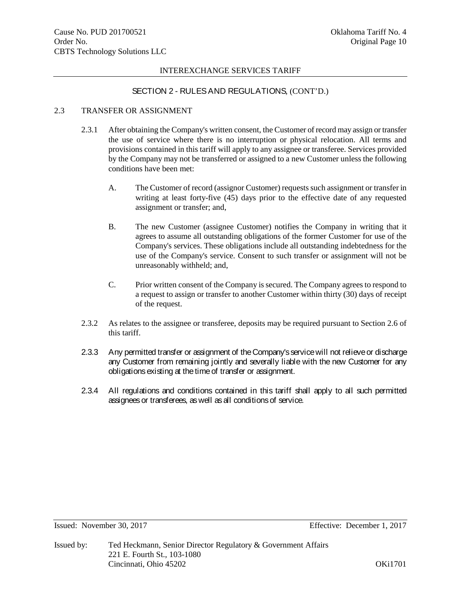# SECTION 2 - RULES AND REGULATIONS, (CONT'D.)

# 2.3 TRANSFER OR ASSIGNMENT

- 2.3.1 After obtaining the Company's written consent, the Customer of record may assign or transfer the use of service where there is no interruption or physical relocation. All terms and provisions contained in this tariff will apply to any assignee or transferee. Services provided by the Company may not be transferred or assigned to a new Customer unless the following conditions have been met:
	- A. The Customer of record (assignor Customer) requests such assignment or transfer in writing at least forty-five (45) days prior to the effective date of any requested assignment or transfer; and,
	- B. The new Customer (assignee Customer) notifies the Company in writing that it agrees to assume all outstanding obligations of the former Customer for use of the Company's services. These obligations include all outstanding indebtedness for the use of the Company's service. Consent to such transfer or assignment will not be unreasonably withheld; and,
	- C. Prior written consent of the Company is secured. The Company agrees to respond to a request to assign or transfer to another Customer within thirty (30) days of receipt of the request.
- 2.3.2 As relates to the assignee or transferee, deposits may be required pursuant to Section 2.6 of this tariff.
- 2.3.3 Any permitted transfer or assignment of the Company's service will not relieve or discharge any Customer from remaining jointly and severally liable with the new Customer for any obligations existing at the time of transfer or assignment.
- 2.3.4 All regulations and conditions contained in this tariff shall apply to all such permitted assignees or transferees, as well as all conditions of service.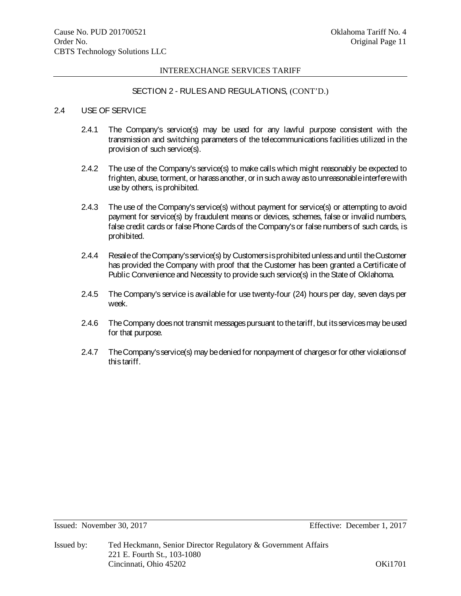# SECTION 2 - RULES AND REGULATIONS, (CONT'D.)

# 2.4 USE OF SERVICE

- 2.4.1 The Company's service(s) may be used for any lawful purpose consistent with the transmission and switching parameters of the telecommunications facilities utilized in the provision of such service(s).
- 2.4.2 The use of the Company's service(s) to make calls which might reasonably be expected to frighten, abuse, torment, or harass another, or in such a way as to unreasonable interfere with use by others, is prohibited.
- 2.4.3 The use of the Company's service(s) without payment for service(s) or attempting to avoid payment for service(s) by fraudulent means or devices, schemes, false or invalid numbers, false credit cards or false Phone Cards of the Company's or false numbers of such cards, is prohibited.
- 2.4.4 Resale of the Company's service(s) by Customers is prohibited unless and until the Customer has provided the Company with proof that the Customer has been granted a Certificate of Public Convenience and Necessity to provide such service(s) in the State of Oklahoma.
- 2.4.5 The Company's service is available for use twenty-four (24) hours per day, seven days per week.
- 2.4.6 The Company does not transmit messages pursuant to the tariff, but its services may be used for that purpose.
- 2.4.7 The Company's service(s) may bedenied for nonpayment of charges or for other violations of this tariff.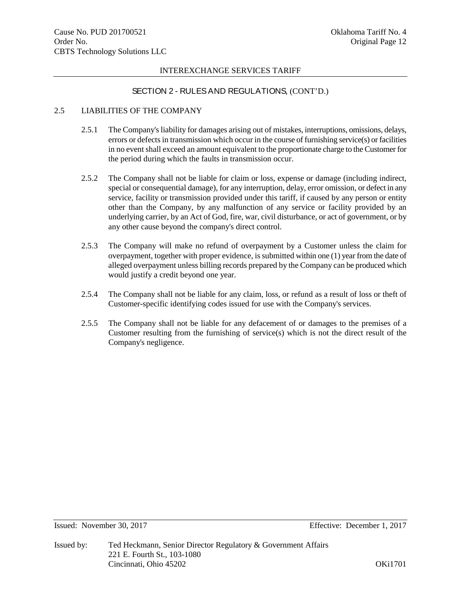# SECTION 2 - RULES AND REGULATIONS, (CONT'D.)

# 2.5 LIABILITIES OF THE COMPANY

- 2.5.1 The Company's liability for damages arising out of mistakes, interruptions, omissions, delays, errors or defects in transmission which occur in the course of furnishing service(s) or facilities in no event shall exceed an amount equivalent to the proportionate charge to the Customer for the period during which the faults in transmission occur.
- 2.5.2 The Company shall not be liable for claim or loss, expense or damage (including indirect, special or consequential damage), for any interruption, delay, error omission, or defect in any service, facility or transmission provided under this tariff, if caused by any person or entity other than the Company, by any malfunction of any service or facility provided by an underlying carrier, by an Act of God, fire, war, civil disturbance, or act of government, or by any other cause beyond the company's direct control.
- 2.5.3 The Company will make no refund of overpayment by a Customer unless the claim for overpayment, together with proper evidence, is submitted within one (1) year from the date of alleged overpayment unless billing records prepared by the Company can be produced which would justify a credit beyond one year.
- 2.5.4 The Company shall not be liable for any claim, loss, or refund as a result of loss or theft of Customer-specific identifying codes issued for use with the Company's services.
- 2.5.5 The Company shall not be liable for any defacement of or damages to the premises of a Customer resulting from the furnishing of service(s) which is not the direct result of the Company's negligence.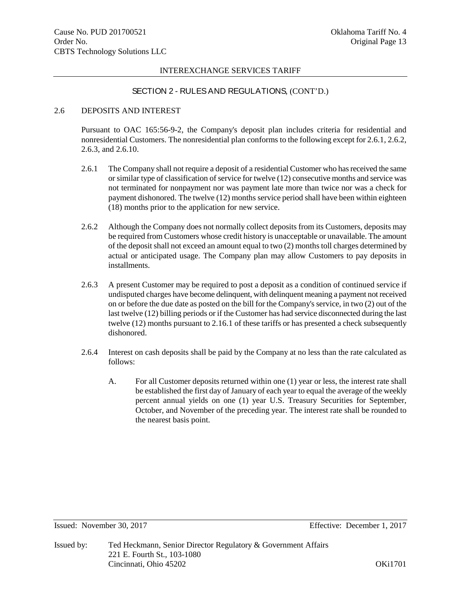# SECTION 2 - RULES AND REGULATIONS, (CONT'D.)

# 2.6 DEPOSITS AND INTEREST

Pursuant to OAC 165:56-9-2, the Company's deposit plan includes criteria for residential and nonresidential Customers. The nonresidential plan conforms to the following except for 2.6.1, 2.6.2, 2.6.3, and 2.6.10.

- 2.6.1 The Company shall not require a deposit of a residential Customer who has received the same or similar type of classification of service for twelve (12) consecutive months and service was not terminated for nonpayment nor was payment late more than twice nor was a check for payment dishonored. The twelve (12) months service period shall have been within eighteen (18) months prior to the application for new service.
- 2.6.2 Although the Company does not normally collect deposits from its Customers, deposits may be required from Customers whose credit history is unacceptable or unavailable. The amount of the deposit shall not exceed an amount equal to two (2) months toll charges determined by actual or anticipated usage. The Company plan may allow Customers to pay deposits in installments.
- 2.6.3 A present Customer may be required to post a deposit as a condition of continued service if undisputed charges have become delinquent, with delinquent meaning a payment not received on or before the due date as posted on the bill for the Company's service, in two (2) out of the last twelve (12) billing periods or if the Customer has had service disconnected during the last twelve (12) months pursuant to 2.16.1 of these tariffs or has presented a check subsequently dishonored.
- 2.6.4 Interest on cash deposits shall be paid by the Company at no less than the rate calculated as follows:
	- A. For all Customer deposits returned within one (1) year or less, the interest rate shall be established the first day of January of each year to equal the average of the weekly percent annual yields on one (1) year U.S. Treasury Securities for September, October, and November of the preceding year. The interest rate shall be rounded to the nearest basis point.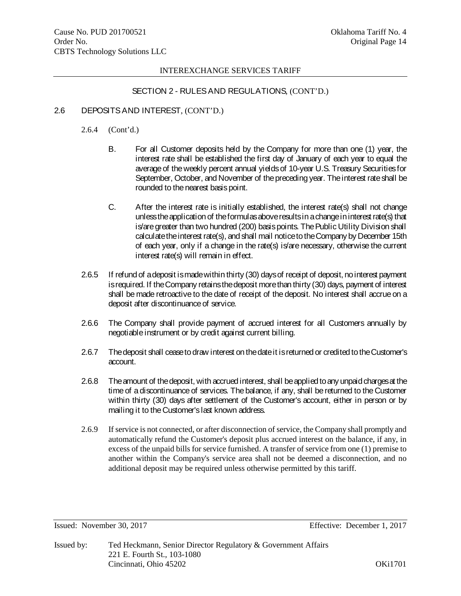# SECTION 2 - RULES AND REGULATIONS, (CONT'D.)

## 2.6 DEPOSITS AND INTEREST, (CONT'D.)

- 2.6.4 (Cont'd.)
	- B. For all Customer deposits held by the Company for more than one (1) year, the interest rate shall be established the first day of January of each year to equal the average of the weekly percent annual yields of 10-year U.S. Treasury Securities for September, October, and November of the preceding year. The interest rate shall be rounded to the nearest basis point.
	- C. After the interest rate is initially established, the interest rate(s) shall not change unless the application of the formulas above results in a change in interest rate(s) that is/are greater than two hundred (200) basis points. The Public Utility Division shall calculate the interest rate(s), and shall mail notice to the Company by December 15th of each year, only if a change in the rate(s) is/are necessary, otherwise the current interest rate(s) will remain in effect.
- 2.6.5 If refund of a deposit is made within thirty (30) days of receipt of deposit, no interest payment is required. If the Company retains the deposit more than thirty (30) days, payment of interest shall be made retroactive to the date of receipt of the deposit. No interest shall accrue on a deposit after discontinuance of service.
- 2.6.6 The Company shall provide payment of accrued interest for all Customers annually by negotiable instrument or by credit against current billing.
- 2.6.7 The deposit shall cease to draw interest on the date it is returned or credited to the Customer's account.
- 2.6.8 The amount of the deposit, with accrued interest, shall be applied to any unpaid charges at the time of a discontinuance of services. The balance, if any, shall be returned to the Customer within thirty (30) days after settlement of the Customer's account, either in person or by mailing it to the Customer's last known address.
- 2.6.9 If service is not connected, or after disconnection of service, the Company shall promptly and automatically refund the Customer's deposit plus accrued interest on the balance, if any, in excess of the unpaid bills for service furnished. A transfer of service from one (1) premise to another within the Company's service area shall not be deemed a disconnection, and no additional deposit may be required unless otherwise permitted by this tariff.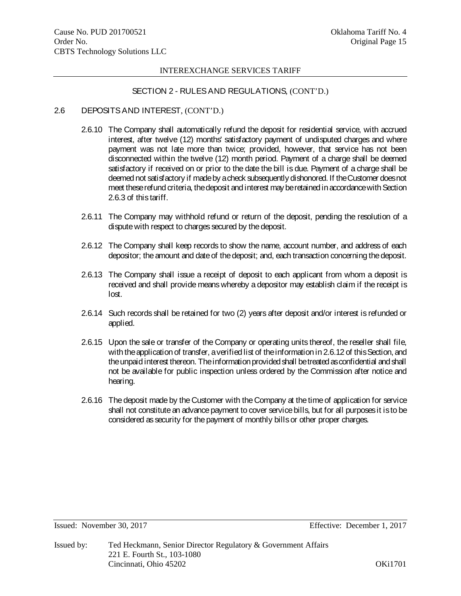# SECTION 2 - RULES AND REGULATIONS, (CONT'D.)

- 2.6 DEPOSITS AND INTEREST, (CONT'D.)
	- 2.6.10 The Company shall automatically refund the deposit for residential service, with accrued interest, after twelve (12) months' satisfactory payment of undisputed charges and where payment was not late more than twice; provided, however, that service has not been disconnected within the twelve (12) month period. Payment of a charge shall be deemed satisfactory if received on or prior to the date the bill is due. Payment of a charge shall be deemed not satisfactory if made by a check subsequently dishonored. If the Customer does not meet these refund criteria, the deposit and interest may be retained in accordance with Section 2.6.3 of this tariff.
	- 2.6.11 The Company may withhold refund or return of the deposit, pending the resolution of a dispute with respect to charges secured by the deposit.
	- 2.6.12 The Company shall keep records to show the name, account number, and address of each depositor; the amount and date of the deposit; and, each transaction concerning the deposit.
	- 2.6.13 The Company shall issue a receipt of deposit to each applicant from whom a deposit is received and shall provide means whereby a depositor may establish claim if the receipt is lost.
	- 2.6.14 Such records shall be retained for two (2) years after deposit and/or interest is refunded or applied.
	- 2.6.15 Upon the sale or transfer of the Company or operating units thereof, the reseller shall file, with the application of transfer, a verified list of the information in 2.6.12 of this Section, and the unpaid interest thereon. The information provided shall be treated as confidential and shall not be available for public inspection unless ordered by the Commission after notice and hearing.
	- 2.6.16 The deposit made by the Customer with the Company at the time of application for service shall not constitute an advance payment to cover service bills, but for all purposes it is to be considered as security for the payment of monthly bills or other proper charges.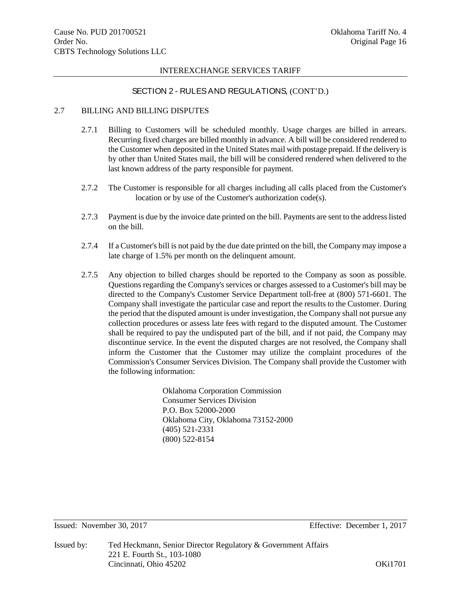# SECTION 2 - RULES AND REGULATIONS, (CONT'D.)

## 2.7 BILLING AND BILLING DISPUTES

- 2.7.1 Billing to Customers will be scheduled monthly. Usage charges are billed in arrears. Recurring fixed charges are billed monthly in advance. A bill will be considered rendered to the Customer when deposited in the United States mail with postage prepaid. If the delivery is by other than United States mail, the bill will be considered rendered when delivered to the last known address of the party responsible for payment.
- 2.7.2 The Customer is responsible for all charges including all calls placed from the Customer's location or by use of the Customer's authorization code(s).
- 2.7.3 Payment is due by the invoice date printed on the bill. Payments are sent to the address listed on the bill.
- 2.7.4 If a Customer's bill is not paid by the due date printed on the bill, the Company may impose a late charge of 1.5% per month on the delinquent amount.
- 2.7.5 Any objection to billed charges should be reported to the Company as soon as possible. Questions regarding the Company's services or charges assessed to a Customer's bill may be directed to the Company's Customer Service Department toll-free at (800) 571-6601. The Company shall investigate the particular case and report the results to the Customer. During the period that the disputed amount is under investigation, the Company shall not pursue any collection procedures or assess late fees with regard to the disputed amount. The Customer shall be required to pay the undisputed part of the bill, and if not paid, the Company may discontinue service. In the event the disputed charges are not resolved, the Company shall inform the Customer that the Customer may utilize the complaint procedures of the Commission's Consumer Services Division. The Company shall provide the Customer with the following information:

Oklahoma Corporation Commission Consumer Services Division P.O. Box 52000-2000 Oklahoma City, Oklahoma 73152-2000 (405) 521-2331 (800) 522-8154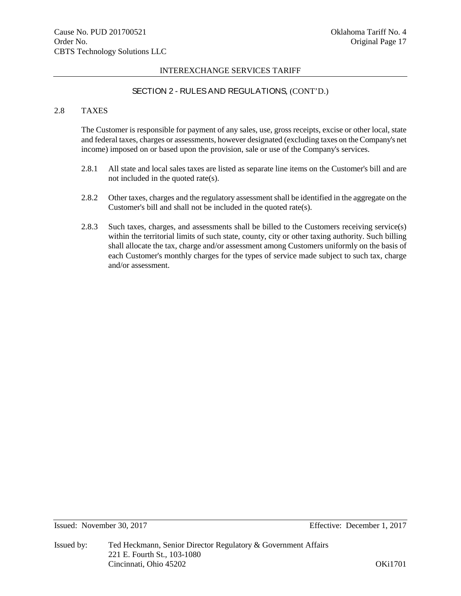# SECTION 2 - RULES AND REGULATIONS, (CONT'D.)

# 2.8 TAXES

The Customer is responsible for payment of any sales, use, gross receipts, excise or other local, state and federal taxes, charges or assessments, however designated (excluding taxes on the Company's net income) imposed on or based upon the provision, sale or use of the Company's services.

- 2.8.1 All state and local sales taxes are listed as separate line items on the Customer's bill and are not included in the quoted rate(s).
- 2.8.2 Other taxes, charges and the regulatory assessment shall be identified in the aggregate on the Customer's bill and shall not be included in the quoted rate(s).
- 2.8.3 Such taxes, charges, and assessments shall be billed to the Customers receiving service(s) within the territorial limits of such state, county, city or other taxing authority. Such billing shall allocate the tax, charge and/or assessment among Customers uniformly on the basis of each Customer's monthly charges for the types of service made subject to such tax, charge and/or assessment.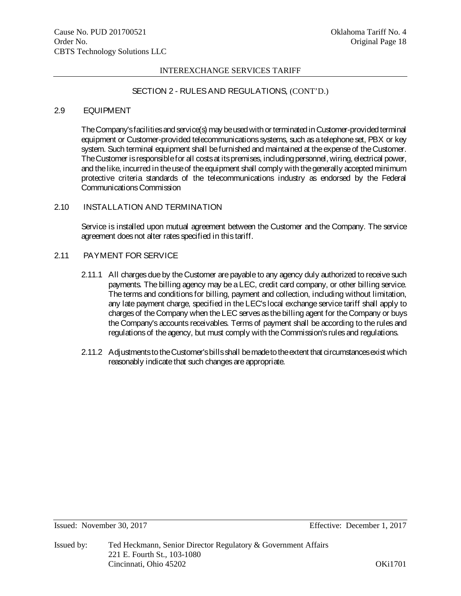# SECTION 2 - RULES AND REGULATIONS, (CONT'D.)

## 2.9 EQUIPMENT

The Company's facilities and service(s) may be used with or terminated in Customer-provided terminal equipment or Customer-provided telecommunications systems, such as a telephone set, PBX or key system. Such terminal equipment shall be furnished and maintained at the expense of the Customer. The Customer is responsible for all costs at its premises, including personnel, wiring, electrical power, and the like, incurred in the use of the equipment shall comply with the generally accepted minimum protective criteria standards of the telecommunications industry as endorsed by the Federal Communications Commission

# 2.10 INSTALLATION AND TERMINATION

Service is installed upon mutual agreement between the Customer and the Company. The service agreement does not alter rates specified in this tariff.

# 2.11 PAYMENT FOR SERVICE

- 2.11.1 All charges due by the Customer are payable to any agency duly authorized to receive such payments. The billing agency may be a LEC, credit card company, or other billing service. The terms and conditions for billing, payment and collection, including without limitation, any late payment charge, specified in the LEC's local exchange service tariff shall apply to charges of the Company when the LEC serves as the billing agent for theCompany or buys the Company's accounts receivables. Terms of payment shall be according to the rules and regulations of the agency, but must comply with the Commission's rules and regulations.
- 2.11.2 Adjustments to the Customer's bills shall be made to the extent that circumstances exist which reasonably indicate that such changes are appropriate.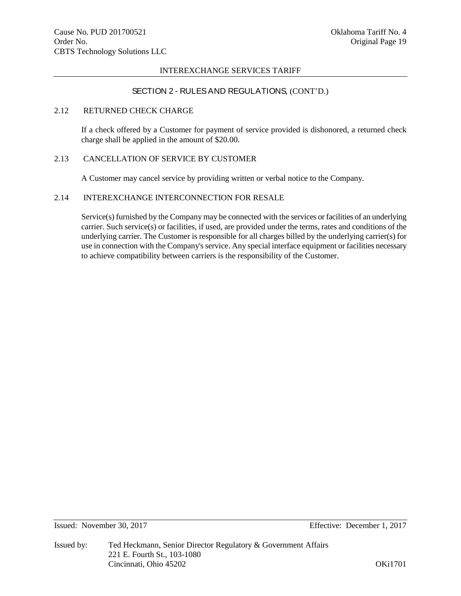# SECTION 2 - RULES AND REGULATIONS, (CONT'D.)

## 2.12 RETURNED CHECK CHARGE

If a check offered by a Customer for payment of service provided is dishonored, a returned check charge shall be applied in the amount of \$20.00.

# 2.13 CANCELLATION OF SERVICE BY CUSTOMER

A Customer may cancel service by providing written or verbal notice to the Company.

# 2.14 INTEREXCHANGE INTERCONNECTION FOR RESALE

Service(s) furnished by the Company may be connected with the services or facilities of an underlying carrier. Such service(s) or facilities, if used, are provided under the terms, rates and conditions of the underlying carrier. The Customer is responsible for all charges billed by the underlying carrier(s) for use in connection with the Company's service. Any special interface equipment or facilities necessary to achieve compatibility between carriers is the responsibility of the Customer.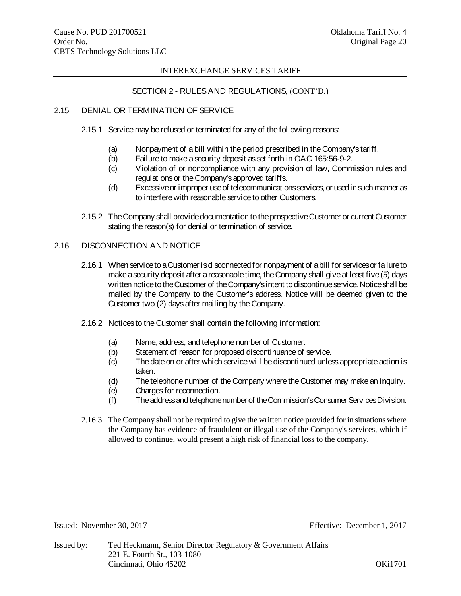# SECTION 2 - RULES AND REGULATIONS, (CONT'D.)

# 2.15 DENIAL OR TERMINATION OF SERVICE

- 2.15.1 Service may be refused or terminated for any of the following reasons:
	- (a) Nonpayment of a bill within the period prescribed in the Company's tariff.
	- (b) Failure to make a security deposit as set forth in OAC 165:56-9-2.
	- (c) Violation of or noncompliance with any provision of law, Commission rules and regulations or the Company's approved tariffs.
	- (d) Excessive or improper use of telecommunications services, or used in such manner as to interfere with reasonable service to other Customers.
- 2.15.2 The Company shall provide documentation to the prospective Customer or current Customer stating the reason(s) for denial or termination of service.

# 2.16 DISCONNECTION AND NOTICE

- 2.16.1 When service to a Customer is disconnected for nonpayment of a bill for services or failure to make a security deposit after a reasonable time, the Company shall give at least five (5) days written notice to the Customer of the Company's intent to discontinue service. Notice shall be mailed by the Company to the Customer's address. Notice will be deemed given to the Customer two (2) days after mailing by the Company.
- 2.16.2 Notices to the Customer shall contain the following information:
	- (a) Name, address, and telephone number of Customer.
	- (b) Statement of reason for proposed discontinuance of service.
	- (c) The date on or after which service will be discontinued unless appropriate action is taken.
	- (d) The telephone number of the Company where the Customer may make an inquiry.
	- (e) Charges for reconnection.
	- (f) The address and telephone number of the Commission's Consumer Services Division.
- 2.16.3 The Company shall not be required to give the written notice provided for in situations where the Company has evidence of fraudulent or illegal use of the Company's services, which if allowed to continue, would present a high risk of financial loss to the company.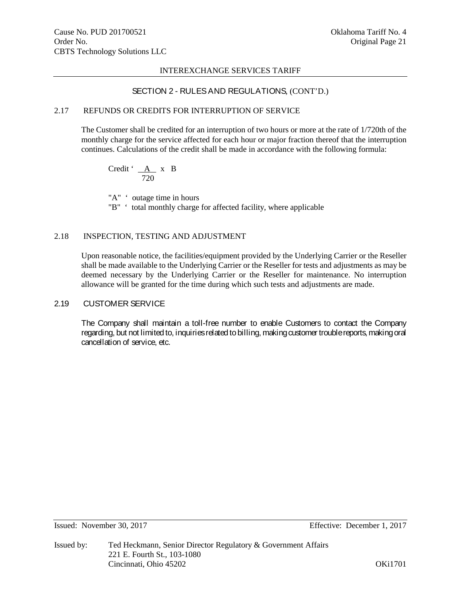# SECTION 2 - RULES AND REGULATIONS, (CONT'D.)

## 2.17 REFUNDS OR CREDITS FOR INTERRUPTION OF SERVICE

The Customer shall be credited for an interruption of two hours or more at the rate of 1/720th of the monthly charge for the service affected for each hour or major fraction thereof that the interruption continues. Calculations of the credit shall be made in accordance with the following formula:

Credit ' A x B 720

"A"  $\cdot$  outage time in hours "B" ' total monthly charge for affected facility, where applicable

# 2.18 INSPECTION, TESTING AND ADJUSTMENT

Upon reasonable notice, the facilities/equipment provided by the Underlying Carrier or the Reseller shall be made available to the Underlying Carrier or the Reseller for tests and adjustments as may be deemed necessary by the Underlying Carrier or the Reseller for maintenance. No interruption allowance will be granted for the time during which such tests and adjustments are made.

## 2.19 CUSTOMER SERVICE

The Company shall maintain a toll-free number to enable Customers to contact the Company regarding, but not limited to, inquiries related to billing, making customer trouble reports, making oral cancellation of service, etc.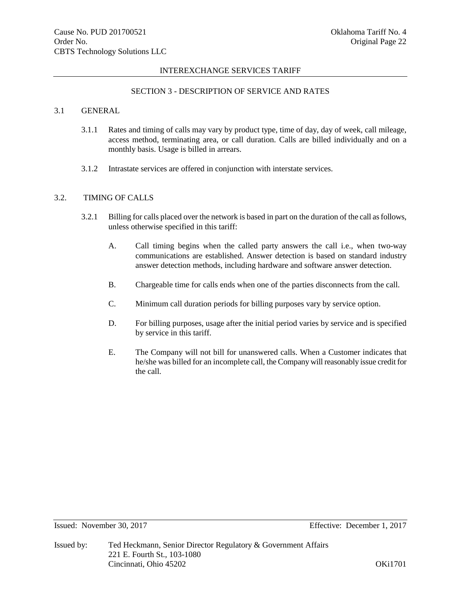# SECTION 3 - DESCRIPTION OF SERVICE AND RATES

# 3.1 GENERAL

- 3.1.1 Rates and timing of calls may vary by product type, time of day, day of week, call mileage, access method, terminating area, or call duration. Calls are billed individually and on a monthly basis. Usage is billed in arrears.
- 3.1.2 Intrastate services are offered in conjunction with interstate services.

# 3.2. TIMING OF CALLS

- 3.2.1 Billing for calls placed over the network is based in part on the duration of the call as follows, unless otherwise specified in this tariff:
	- A. Call timing begins when the called party answers the call i.e., when two-way communications are established. Answer detection is based on standard industry answer detection methods, including hardware and software answer detection.
	- B. Chargeable time for calls ends when one of the parties disconnects from the call.
	- C. Minimum call duration periods for billing purposes vary by service option.
	- D. For billing purposes, usage after the initial period varies by service and is specified by service in this tariff.
	- E. The Company will not bill for unanswered calls. When a Customer indicates that he/she was billed for an incomplete call, the Company will reasonably issue credit for the call.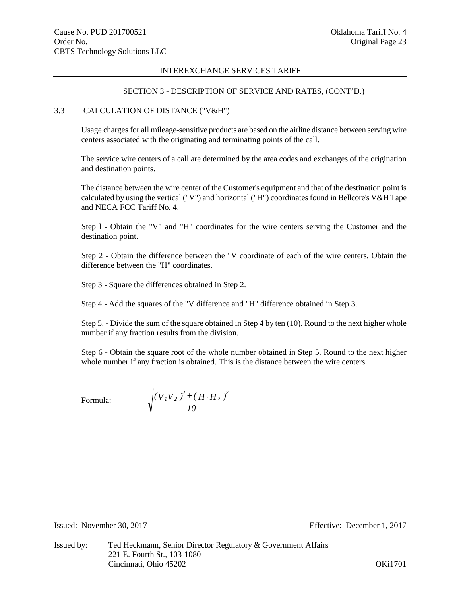#### SECTION 3 - DESCRIPTION OF SERVICE AND RATES, (CONT'D.)

## 3.3 CALCULATION OF DISTANCE ("V&H")

Usage charges for all mileage-sensitive products are based on the airline distance between serving wire centers associated with the originating and terminating points of the call.

The service wire centers of a call are determined by the area codes and exchanges of the origination and destination points.

The distance between the wire center of the Customer's equipment and that of the destination point is calculated by using the vertical ("V") and horizontal ("H") coordinates found in Bellcore's V&H Tape and NECA FCC Tariff No. 4.

Step l - Obtain the "V" and "H" coordinates for the wire centers serving the Customer and the destination point.

Step 2 - Obtain the difference between the "V coordinate of each of the wire centers. Obtain the difference between the "H" coordinates.

Step 3 - Square the differences obtained in Step 2.

Step 4 - Add the squares of the "V difference and "H" difference obtained in Step 3.

Step 5. - Divide the sum of the square obtained in Step 4 by ten (10). Round to the next higher whole number if any fraction results from the division.

Step 6 - Obtain the square root of the whole number obtained in Step 5. Round to the next higher whole number if any fraction is obtained. This is the distance between the wire centers.

Formula:

$$
\sqrt{\frac{\left(V_{1}V_{2}\right)^{2}+\left(H_{1}H_{2}\right)^{2}}{10}}
$$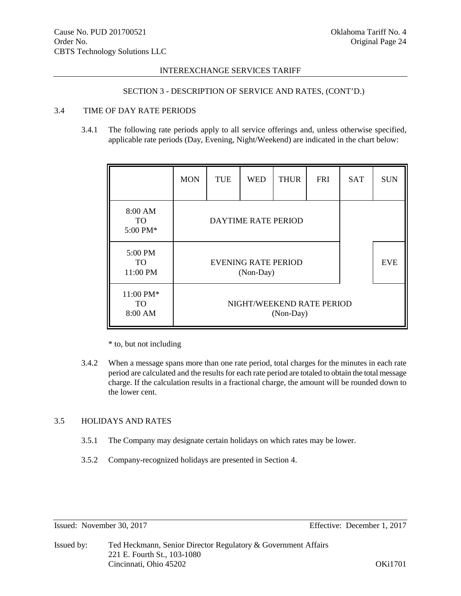# SECTION 3 - DESCRIPTION OF SERVICE AND RATES, (CONT'D.)

# 3.4 TIME OF DAY RATE PERIODS

3.4.1 The following rate periods apply to all service offerings and, unless otherwise specified, applicable rate periods (Day, Evening, Night/Weekend) are indicated in the chart below:

|                                             | <b>MON</b>                                            | <b>TUE</b>                 | <b>WED</b> | <b>THUR</b> | <b>FRI</b> | <b>SAT</b> | <b>SUN</b> |
|---------------------------------------------|-------------------------------------------------------|----------------------------|------------|-------------|------------|------------|------------|
| 8:00 AM<br>TO<br>5:00 PM*                   |                                                       | <b>DAYTIME RATE PERIOD</b> |            |             |            |            |            |
| 5:00 PM<br>TO.<br>11:00 PM                  | <b>EVE</b><br><b>EVENING RATE PERIOD</b><br>(Non-Day) |                            |            |             |            |            |            |
| $11:00 \text{ PM*}$<br><b>TO</b><br>8:00 AM | NIGHT/WEEKEND RATE PERIOD<br>(Non-Day)                |                            |            |             |            |            |            |

\* to, but not including

3.4.2 When a message spans more than one rate period, total charges for the minutes in each rate period are calculated and the results for each rate period are totaled to obtain the total message charge. If the calculation results in a fractional charge, the amount will be rounded down to the lower cent.

# 3.5 HOLIDAYS AND RATES

- 3.5.1 The Company may designate certain holidays on which rates may be lower.
- 3.5.2 Company-recognized holidays are presented in Section 4.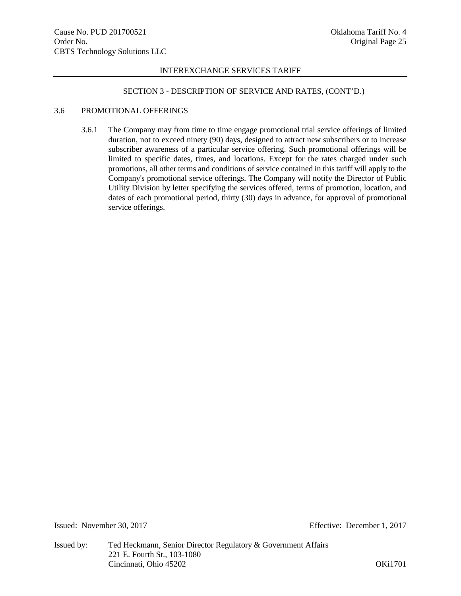### SECTION 3 - DESCRIPTION OF SERVICE AND RATES, (CONT'D.)

### 3.6 PROMOTIONAL OFFERINGS

3.6.1 The Company may from time to time engage promotional trial service offerings of limited duration, not to exceed ninety (90) days, designed to attract new subscribers or to increase subscriber awareness of a particular service offering. Such promotional offerings will be limited to specific dates, times, and locations. Except for the rates charged under such promotions, all other terms and conditions of service contained in this tariff will apply to the Company's promotional service offerings. The Company will notify the Director of Public Utility Division by letter specifying the services offered, terms of promotion, location, and dates of each promotional period, thirty (30) days in advance, for approval of promotional service offerings.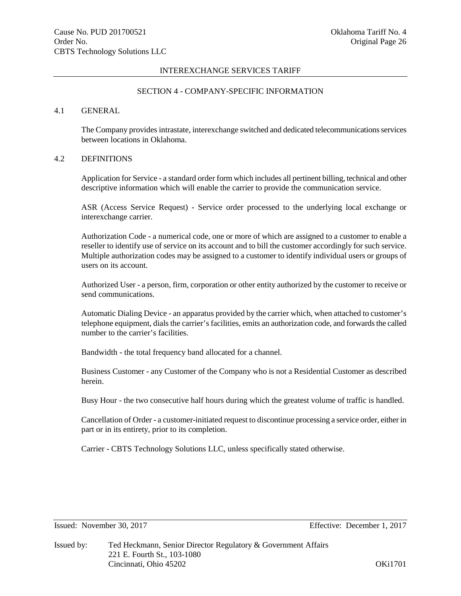# SECTION 4 - COMPANY-SPECIFIC INFORMATION

# 4.1 GENERAL

The Company provides intrastate, interexchange switched and dedicated telecommunications services between locations in Oklahoma.

# 4.2 DEFINITIONS

Application for Service - a standard order form which includes all pertinent billing, technical and other descriptive information which will enable the carrier to provide the communication service.

ASR (Access Service Request) - Service order processed to the underlying local exchange or interexchange carrier.

Authorization Code - a numerical code, one or more of which are assigned to a customer to enable a reseller to identify use of service on its account and to bill the customer accordingly for such service. Multiple authorization codes may be assigned to a customer to identify individual users or groups of users on its account.

Authorized User - a person, firm, corporation or other entity authorized by the customer to receive or send communications.

Automatic Dialing Device - an apparatus provided by the carrier which, when attached to customer's telephone equipment, dials the carrier's facilities, emits an authorization code, and forwards the called number to the carrier's facilities.

Bandwidth - the total frequency band allocated for a channel.

Business Customer - any Customer of the Company who is not a Residential Customer as described herein.

Busy Hour - the two consecutive half hours during which the greatest volume of traffic is handled.

Cancellation of Order - a customer-initiated request to discontinue processing a service order, either in part or in its entirety, prior to its completion.

Carrier - CBTS Technology Solutions LLC, unless specifically stated otherwise.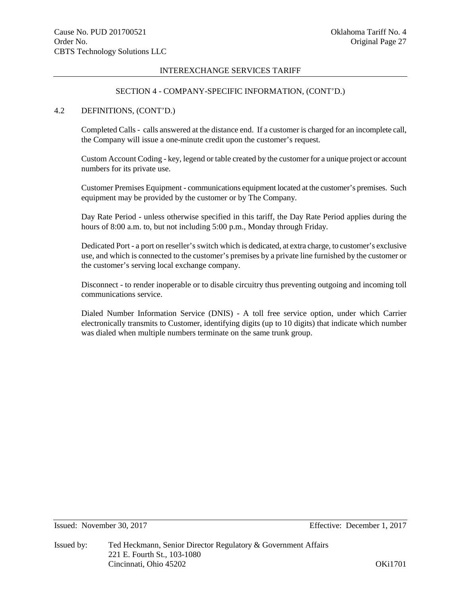### SECTION 4 - COMPANY-SPECIFIC INFORMATION, (CONT'D.)

# 4.2 DEFINITIONS, (CONT'D.)

Completed Calls - calls answered at the distance end. If a customer is charged for an incomplete call, the Company will issue a one-minute credit upon the customer's request.

Custom Account Coding - key, legend or table created by the customer for a unique project or account numbers for its private use.

Customer Premises Equipment - communications equipment located at the customer's premises. Such equipment may be provided by the customer or by The Company.

Day Rate Period - unless otherwise specified in this tariff, the Day Rate Period applies during the hours of 8:00 a.m. to, but not including 5:00 p.m., Monday through Friday.

Dedicated Port - a port on reseller'sswitch which is dedicated, at extra charge, to customer's exclusive use, and which is connected to the customer's premises by a private line furnished by the customer or the customer's serving local exchange company.

Disconnect - to render inoperable or to disable circuitry thus preventing outgoing and incoming toll communications service.

Dialed Number Information Service (DNIS) - A toll free service option, under which Carrier electronically transmits to Customer, identifying digits (up to 10 digits) that indicate which number was dialed when multiple numbers terminate on the same trunk group.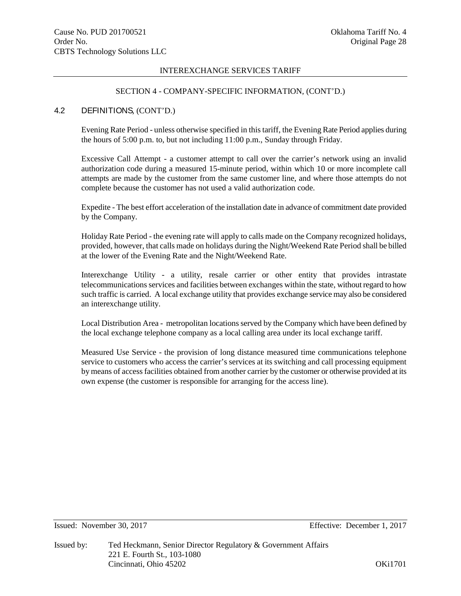### SECTION 4 - COMPANY-SPECIFIC INFORMATION, (CONT'D.)

# 4.2 DEFINITIONS, (CONT'D.)

Evening Rate Period - unless otherwise specified in this tariff, the Evening Rate Period applies during the hours of 5:00 p.m. to, but not including 11:00 p.m., Sunday through Friday.

Excessive Call Attempt - a customer attempt to call over the carrier's network using an invalid authorization code during a measured 15-minute period, within which 10 or more incomplete call attempts are made by the customer from the same customer line, and where those attempts do not complete because the customer has not used a valid authorization code.

Expedite - The best effort acceleration of the installation date in advance of commitment date provided by the Company.

Holiday Rate Period - the evening rate will apply to calls made on the Company recognized holidays, provided, however, that calls made on holidays during the Night/Weekend Rate Period shall be billed at the lower of the Evening Rate and the Night/Weekend Rate.

Interexchange Utility - a utility, resale carrier or other entity that provides intrastate telecommunications services and facilities between exchanges within the state, without regard to how such traffic is carried. A local exchange utility that provides exchange service may also be considered an interexchange utility.

Local Distribution Area - metropolitan locations served by the Company which have been defined by the local exchange telephone company as a local calling area under its local exchange tariff.

Measured Use Service - the provision of long distance measured time communications telephone service to customers who access the carrier's services at its switching and call processing equipment by means of access facilities obtained from another carrier by the customer or otherwise provided at its own expense (the customer is responsible for arranging for the access line).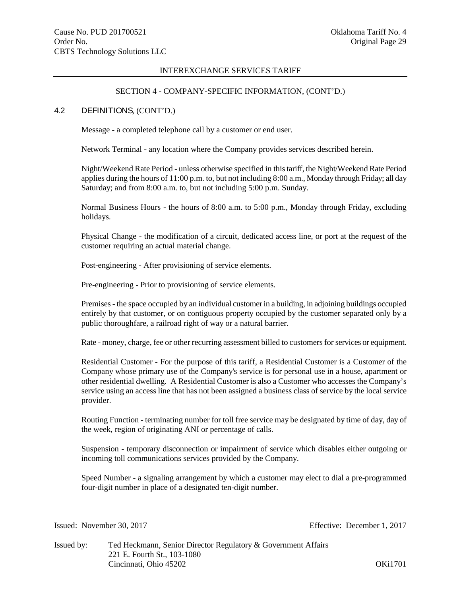### SECTION 4 - COMPANY-SPECIFIC INFORMATION, (CONT'D.)

# 4.2 DEFINITIONS, (CONT'D.)

Message - a completed telephone call by a customer or end user.

Network Terminal - any location where the Company provides services described herein.

Night/Weekend Rate Period - unless otherwise specified in this tariff, the Night/Weekend Rate Period applies during the hours of 11:00 p.m. to, but not including 8:00 a.m., Monday through Friday; all day Saturday; and from 8:00 a.m. to, but not including 5:00 p.m. Sunday.

Normal Business Hours - the hours of 8:00 a.m. to 5:00 p.m., Monday through Friday, excluding holidays.

Physical Change - the modification of a circuit, dedicated access line, or port at the request of the customer requiring an actual material change.

Post-engineering - After provisioning of service elements.

Pre-engineering - Prior to provisioning of service elements.

Premises - the space occupied by an individual customer in a building, in adjoining buildings occupied entirely by that customer, or on contiguous property occupied by the customer separated only by a public thoroughfare, a railroad right of way or a natural barrier.

Rate - money, charge, fee or other recurring assessment billed to customers for services or equipment.

Residential Customer - For the purpose of this tariff, a Residential Customer is a Customer of the Company whose primary use of the Company's service is for personal use in a house, apartment or other residential dwelling. A Residential Customer is also a Customer who accesses the Company's service using an access line that has not been assigned a business class of service by the local service provider.

Routing Function - terminating number for toll free service may be designated by time of day, day of the week, region of originating ANI or percentage of calls.

Suspension - temporary disconnection or impairment of service which disables either outgoing or incoming toll communications services provided by the Company.

Speed Number - a signaling arrangement by which a customer may elect to dial a pre-programmed four-digit number in place of a designated ten-digit number.

Issued: November 30, 2017 Effective: December 1, 2017

Issued by: Ted Heckmann, Senior Director Regulatory & Government Affairs 221 E. Fourth St., 103-1080 Cincinnati, Ohio 45202 OKi1701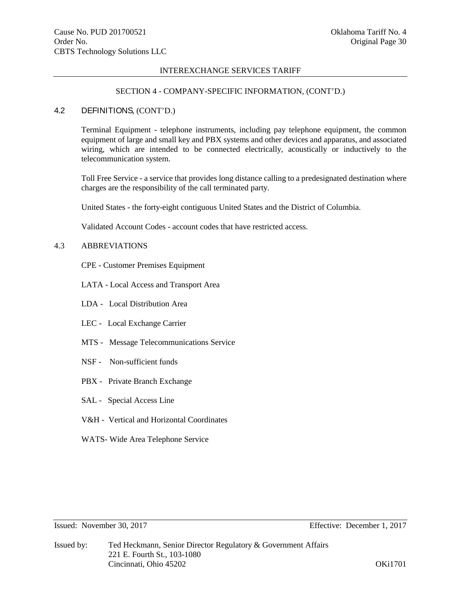### SECTION 4 - COMPANY-SPECIFIC INFORMATION, (CONT'D.)

## 4.2 DEFINITIONS, (CONT'D.)

Terminal Equipment - telephone instruments, including pay telephone equipment, the common equipment of large and small key and PBX systems and other devices and apparatus, and associated wiring, which are intended to be connected electrically, acoustically or inductively to the telecommunication system.

Toll Free Service - a service that provides long distance calling to a predesignated destination where charges are the responsibility of the call terminated party.

United States - the forty-eight contiguous United States and the District of Columbia.

Validated Account Codes - account codes that have restricted access.

# 4.3 ABBREVIATIONS

CPE - Customer Premises Equipment

- LATA Local Access and Transport Area
- LDA Local Distribution Area
- LEC Local Exchange Carrier
- MTS Message Telecommunications Service
- NSF Non-sufficient funds
- PBX Private Branch Exchange
- SAL Special Access Line
- V&H Vertical and Horizontal Coordinates
- WATS- Wide Area Telephone Service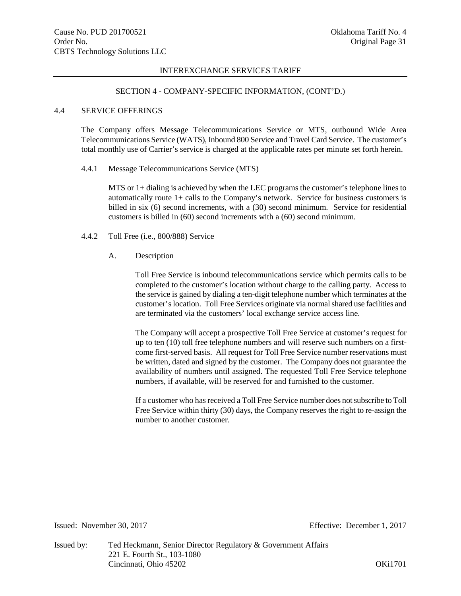#### SECTION 4 - COMPANY-SPECIFIC INFORMATION, (CONT'D.)

## 4.4 SERVICE OFFERINGS

The Company offers Message Telecommunications Service or MTS, outbound Wide Area Telecommunications Service (WATS), Inbound 800 Service and Travel Card Service. The customer's total monthly use of Carrier's service is charged at the applicable rates per minute set forth herein.

#### 4.4.1 Message Telecommunications Service (MTS)

MTS or 1+ dialing is achieved by when the LEC programs the customer's telephone lines to automatically route 1+ calls to the Company's network. Service for business customers is billed in six (6) second increments, with a (30) second minimum. Service for residential customers is billed in (60) second increments with a (60) second minimum.

- 4.4.2 Toll Free (i.e., 800/888) Service
	- A. Description

Toll Free Service is inbound telecommunications service which permits calls to be completed to the customer's location without charge to the calling party. Access to the service is gained by dialing a ten-digit telephone number which terminates at the customer'slocation. Toll Free Services originate via normal shared use facilities and are terminated via the customers' local exchange service access line.

The Company will accept a prospective Toll Free Service at customer's request for up to ten (10) toll free telephone numbers and will reserve such numbers on a firstcome first-served basis. All request for Toll Free Service number reservations must be written, dated and signed by the customer. The Company does not guarantee the availability of numbers until assigned. The requested Toll Free Service telephone numbers, if available, will be reserved for and furnished to the customer.

If a customer who has received a Toll Free Service number does not subscribe to Toll Free Service within thirty (30) days, the Company reserves the right to re-assign the number to another customer.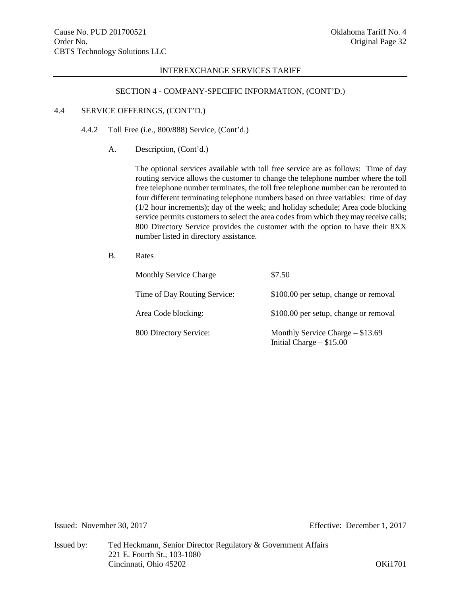#### SECTION 4 - COMPANY-SPECIFIC INFORMATION, (CONT'D.)

## 4.4 SERVICE OFFERINGS, (CONT'D.)

- 4.4.2 Toll Free (i.e., 800/888) Service, (Cont'd.)
	- A. Description, (Cont'd.)

The optional services available with toll free service are as follows: Time of day routing service allows the customer to change the telephone number where the toll free telephone number terminates, the toll free telephone number can be rerouted to four different terminating telephone numbers based on three variables: time of day (1/2 hour increments); day of the week; and holiday schedule; Area code blocking service permits customers to select the area codes from which they may receive calls; 800 Directory Service provides the customer with the option to have their 8XX number listed in directory assistance.

B. Rates

| <b>Monthly Service Charge</b> | \$7.50                                                          |
|-------------------------------|-----------------------------------------------------------------|
| Time of Day Routing Service:  | \$100.00 per setup, change or removal                           |
| Area Code blocking:           | \$100.00 per setup, change or removal                           |
| 800 Directory Service:        | Monthly Service Charge $-$ \$13.69<br>Initial Charge $- $15.00$ |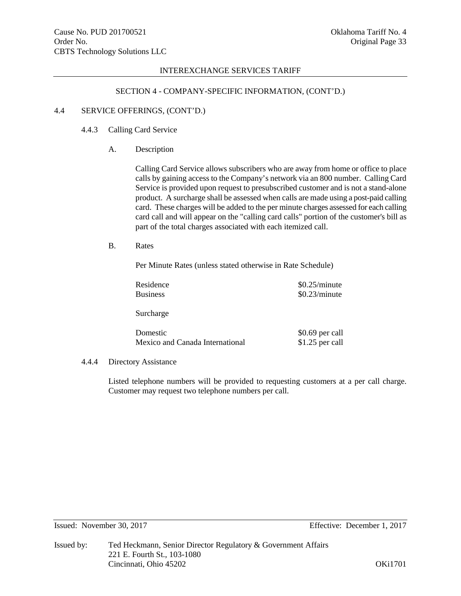### SECTION 4 - COMPANY-SPECIFIC INFORMATION, (CONT'D.)

## 4.4 SERVICE OFFERINGS, (CONT'D.)

# 4.4.3 Calling Card Service

A. Description

Calling Card Service allows subscribers who are away from home or office to place calls by gaining access to the Company's network via an 800 number. Calling Card Service is provided upon request to presubscribed customer and is not a stand-alone product. A surcharge shall be assessed when calls are made using a post-paid calling card. These charges will be added to the per minute charges assessed for each calling card call and will appear on the "calling card calls" portion of the customer's bill as part of the total charges associated with each itemized call.

# B. Rates

Per Minute Rates (unless stated otherwise in Rate Schedule)

| Residence                       | \$0.25/minute    |
|---------------------------------|------------------|
| <b>Business</b>                 | \$0.23/minute    |
|                                 |                  |
| Surcharge                       |                  |
|                                 |                  |
| Domestic                        | $$0.69$ per call |
| Mexico and Canada International | \$1.25 per call  |
|                                 |                  |

#### 4.4.4 Directory Assistance

Listed telephone numbers will be provided to requesting customers at a per call charge. Customer may request two telephone numbers per call.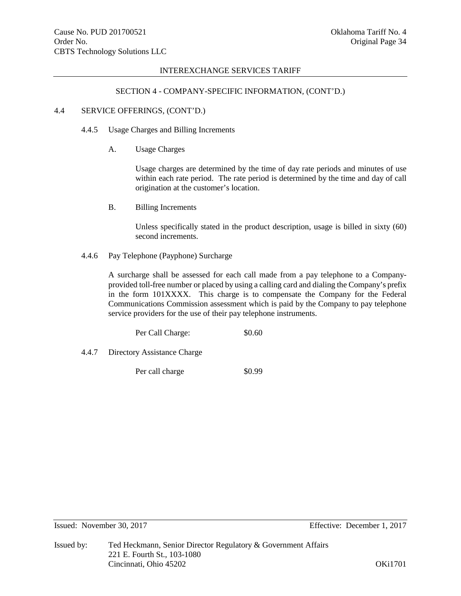### SECTION 4 - COMPANY-SPECIFIC INFORMATION, (CONT'D.)

# 4.4 SERVICE OFFERINGS, (CONT'D.)

## 4.4.5 Usage Charges and Billing Increments

A. Usage Charges

Usage charges are determined by the time of day rate periods and minutes of use within each rate period. The rate period is determined by the time and day of call origination at the customer's location.

B. Billing Increments

Unless specifically stated in the product description, usage is billed in sixty (60) second increments.

4.4.6 Pay Telephone (Payphone) Surcharge

A surcharge shall be assessed for each call made from a pay telephone to a Companyprovided toll-free number or placed by using a calling card and dialing the Company's prefix in the form 101XXXX. This charge is to compensate the Company for the Federal Communications Commission assessment which is paid by the Company to pay telephone service providers for the use of their pay telephone instruments.

Per Call Charge:  $$0.60$ 

4.4.7 Directory Assistance Charge

Per call charge  $\$0.99$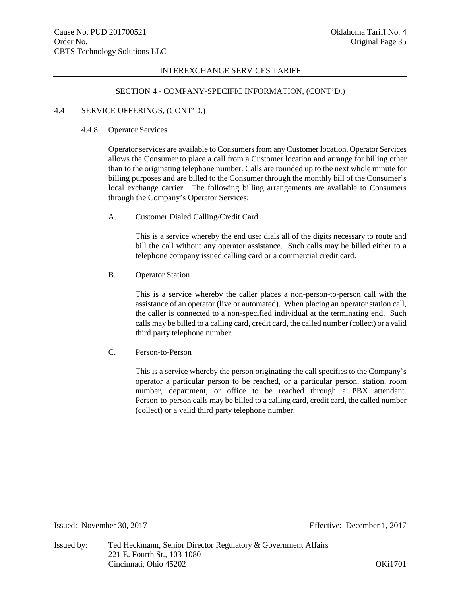## SECTION 4 - COMPANY-SPECIFIC INFORMATION, (CONT'D.)

## 4.4 SERVICE OFFERINGS, (CONT'D.)

### 4.4.8 Operator Services

Operator services are available to Consumers from any Customer location. Operator Services allows the Consumer to place a call from a Customer location and arrange for billing other than to the originating telephone number. Calls are rounded up to the next whole minute for billing purposes and are billed to the Consumer through the monthly bill of the Consumer's local exchange carrier. The following billing arrangements are available to Consumers through the Company's Operator Services:

## A. Customer Dialed Calling/Credit Card

This is a service whereby the end user dials all of the digits necessary to route and bill the call without any operator assistance. Such calls may be billed either to a telephone company issued calling card or a commercial credit card.

# B. Operator Station

This is a service whereby the caller places a non-person-to-person call with the assistance of an operator (live or automated). When placing an operator station call, the caller is connected to a non-specified individual at the terminating end. Such calls may be billed to a calling card, credit card, the called number (collect) or a valid third party telephone number.

# C. Person-to-Person

This is a service whereby the person originating the call specifies to the Company's operator a particular person to be reached, or a particular person, station, room number, department, or office to be reached through a PBX attendant. Person-to-person calls may be billed to a calling card, credit card, the called number (collect) or a valid third party telephone number.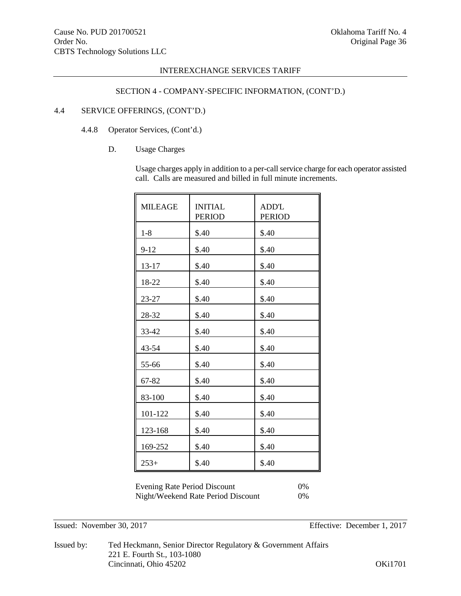# SECTION 4 - COMPANY-SPECIFIC INFORMATION, (CONT'D.)

# 4.4 SERVICE OFFERINGS, (CONT'D.)

## 4.4.8 Operator Services, (Cont'd.)

# D. Usage Charges

Usage charges apply in addition to a per-call service charge for each operator assisted call. Calls are measured and billed in full minute increments.

| <b>MILEAGE</b> | <b>INITIAL</b><br><b>PERIOD</b> | <b>ADD'L</b><br><b>PERIOD</b> |
|----------------|---------------------------------|-------------------------------|
| $1 - 8$        | \$.40                           | \$.40                         |
| $9 - 12$       | \$.40                           | \$.40                         |
| 13-17          | \$.40                           | \$.40                         |
| 18-22          | \$.40                           | \$.40                         |
| 23-27          | \$.40                           | \$.40                         |
| 28-32          | \$.40                           | \$.40                         |
| 33-42          | \$.40                           | \$.40                         |
| 43-54          | \$.40                           | \$.40                         |
| 55-66          | \$.40                           | \$.40                         |
| 67-82          | \$.40                           | \$.40                         |
| 83-100         | \$.40                           | \$.40                         |
| 101-122        | \$.40                           | \$.40                         |
| 123-168        | \$.40                           | \$.40                         |
| 169-252        | \$.40                           | \$.40                         |
| $253+$         | \$.40                           | \$.40                         |

Evening Rate Period Discount 0% Night/Weekend Rate Period Discount 0%

Issued: November 30, 2017 Effective: December 1, 2017

Issued by: Ted Heckmann, Senior Director Regulatory & Government Affairs 221 E. Fourth St., 103-1080 Cincinnati, Ohio 45202 OKi1701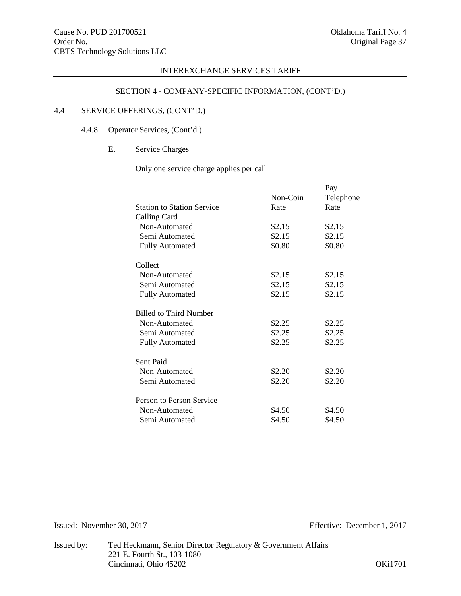# SECTION 4 - COMPANY-SPECIFIC INFORMATION, (CONT'D.)

# 4.4 SERVICE OFFERINGS, (CONT'D.)

# 4.4.8 Operator Services, (Cont'd.)

# E. Service Charges

Only one service charge applies per call

|                                   |          | Pay       |
|-----------------------------------|----------|-----------|
|                                   | Non-Coin | Telephone |
| <b>Station to Station Service</b> | Rate     | Rate      |
| Calling Card                      |          |           |
| Non-Automated                     | \$2.15   | \$2.15    |
| Semi Automated                    | \$2.15   | \$2.15    |
| <b>Fully Automated</b>            | \$0.80   | \$0.80    |
| Collect                           |          |           |
| Non-Automated                     | \$2.15   | \$2.15    |
| Semi Automated                    | \$2.15   | \$2.15    |
| <b>Fully Automated</b>            | \$2.15   | \$2.15    |
| <b>Billed to Third Number</b>     |          |           |
| Non-Automated                     | \$2.25   | \$2.25    |
| Semi Automated                    | \$2.25   | \$2.25    |
| <b>Fully Automated</b>            | \$2.25   | \$2.25    |
| Sent Paid                         |          |           |
| Non-Automated                     | \$2.20   | \$2.20    |
| Semi Automated                    | \$2.20   | \$2.20    |
| Person to Person Service          |          |           |
| Non-Automated                     | \$4.50   | \$4.50    |
| Semi Automated                    | \$4.50   | \$4.50    |
|                                   |          |           |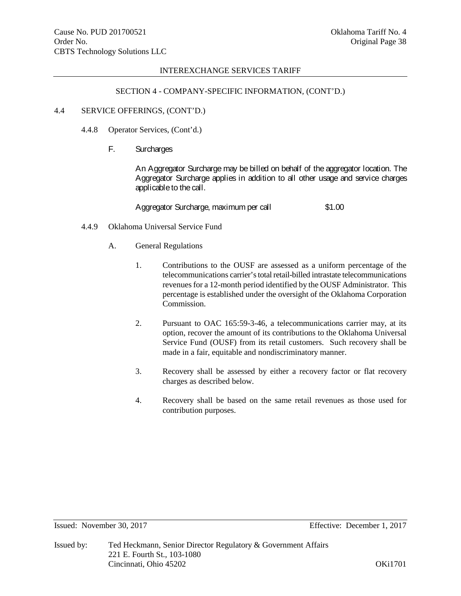### SECTION 4 - COMPANY-SPECIFIC INFORMATION, (CONT'D.)

### 4.4 SERVICE OFFERINGS, (CONT'D.)

- 4.4.8 Operator Services, (Cont'd.)
	- F. Surcharges

An Aggregator Surcharge may be billed on behalf of the aggregator location. The Aggregator Surcharge applies in addition to all other usage and service charges applicable to the call.

Aggregator Surcharge, maximum per call \$1.00

- 4.4.9 Oklahoma Universal Service Fund
	- A. General Regulations
		- 1. Contributions to the OUSF are assessed as a uniform percentage of the telecommunications carrier'stotal retail-billed intrastate telecommunications revenues for a 12-month period identified by the OUSF Administrator. This percentage is established under the oversight of the Oklahoma Corporation Commission.
		- 2. Pursuant to OAC 165:59-3-46, a telecommunications carrier may, at its option, recover the amount of its contributions to the Oklahoma Universal Service Fund (OUSF) from its retail customers. Such recovery shall be made in a fair, equitable and nondiscriminatory manner.
		- 3. Recovery shall be assessed by either a recovery factor or flat recovery charges as described below.
		- 4. Recovery shall be based on the same retail revenues as those used for contribution purposes.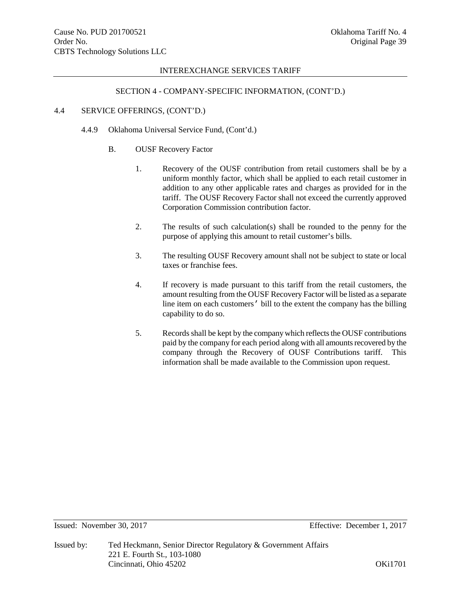## SECTION 4 - COMPANY-SPECIFIC INFORMATION, (CONT'D.)

## 4.4 SERVICE OFFERINGS, (CONT'D.)

- 4.4.9 Oklahoma Universal Service Fund, (Cont'd.)
	- B. OUSF Recovery Factor
		- 1. Recovery of the OUSF contribution from retail customers shall be by a uniform monthly factor, which shall be applied to each retail customer in addition to any other applicable rates and charges as provided for in the tariff. The OUSF Recovery Factor shall not exceed the currently approved Corporation Commission contribution factor.
		- 2. The results of such calculation(s) shall be rounded to the penny for the purpose of applying this amount to retail customer's bills.
		- 3. The resulting OUSF Recovery amount shall not be subject to state or local taxes or franchise fees.
		- 4. If recovery is made pursuant to this tariff from the retail customers, the amount resulting from the OUSF Recovery Factor will be listed as a separate line item on each customers' bill to the extent the company has the billing capability to do so.
		- 5. Records shall be kept by the company which reflects the OUSF contributions paid by the company for each period along with all amounts recovered by the company through the Recovery of OUSF Contributions tariff. This information shall be made available to the Commission upon request.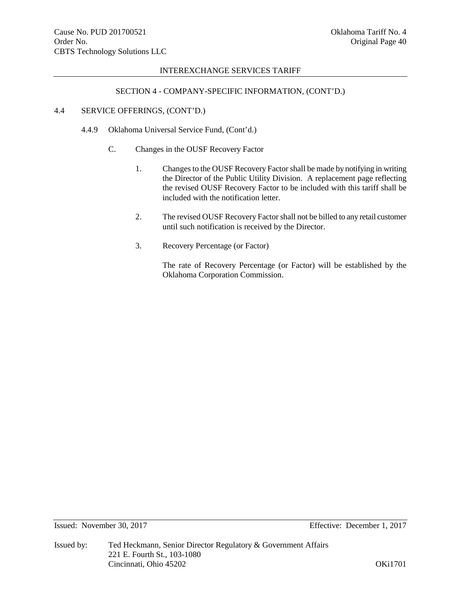# SECTION 4 - COMPANY-SPECIFIC INFORMATION, (CONT'D.)

## 4.4 SERVICE OFFERINGS, (CONT'D.)

- 4.4.9 Oklahoma Universal Service Fund, (Cont'd.)
	- C. Changes in the OUSF Recovery Factor
		- 1. Changes to the OUSF Recovery Factor shall be made by notifying in writing the Director of the Public Utility Division. A replacement page reflecting the revised OUSF Recovery Factor to be included with this tariff shall be included with the notification letter.
		- 2. The revised OUSF Recovery Factor shall not be billed to any retail customer until such notification is received by the Director.
		- 3. Recovery Percentage (or Factor)

The rate of Recovery Percentage (or Factor) will be established by the Oklahoma Corporation Commission.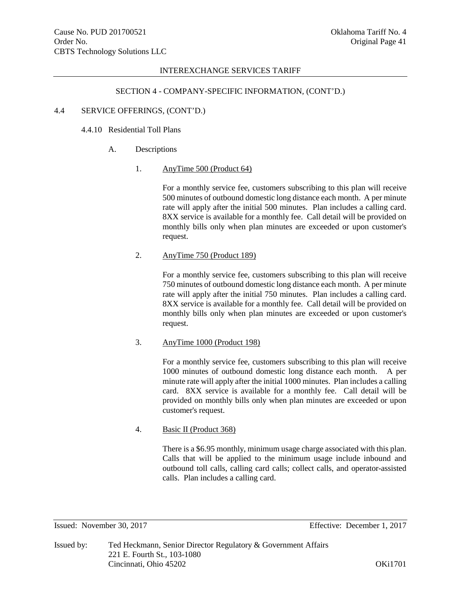### SECTION 4 - COMPANY-SPECIFIC INFORMATION, (CONT'D.)

### 4.4 SERVICE OFFERINGS, (CONT'D.)

## 4.4.10 Residential Toll Plans

## A. Descriptions

## 1. AnyTime 500 (Product 64)

For a monthly service fee, customers subscribing to this plan will receive 500 minutes of outbound domestic long distance each month. A per minute rate will apply after the initial 500 minutes. Plan includes a calling card. 8XX service is available for a monthly fee. Call detail will be provided on monthly bills only when plan minutes are exceeded or upon customer's request.

## 2. AnyTime 750 (Product 189)

For a monthly service fee, customers subscribing to this plan will receive 750 minutes of outbound domestic long distance each month. A per minute rate will apply after the initial 750 minutes. Plan includes a calling card. 8XX service is available for a monthly fee. Call detail will be provided on monthly bills only when plan minutes are exceeded or upon customer's request.

## 3. AnyTime 1000 (Product 198)

For a monthly service fee, customers subscribing to this plan will receive 1000 minutes of outbound domestic long distance each month. A per minute rate will apply after the initial 1000 minutes. Plan includes a calling card. 8XX service is available for a monthly fee. Call detail will be provided on monthly bills only when plan minutes are exceeded or upon customer's request.

## 4. Basic II (Product 368)

There is a \$6.95 monthly, minimum usage charge associated with this plan. Calls that will be applied to the minimum usage include inbound and outbound toll calls, calling card calls; collect calls, and operator-assisted calls. Plan includes a calling card.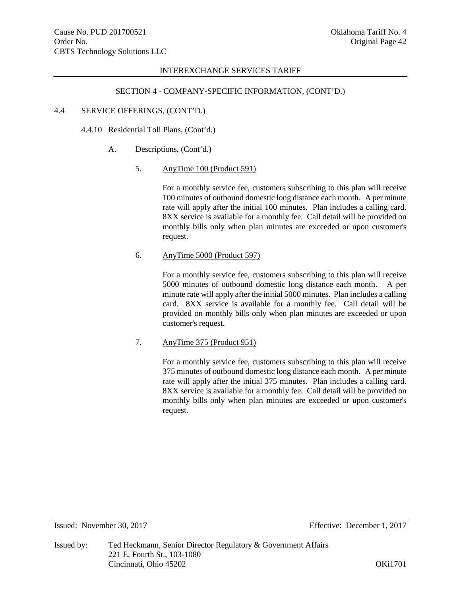## SECTION 4 - COMPANY-SPECIFIC INFORMATION, (CONT'D.)

### 4.4 SERVICE OFFERINGS, (CONT'D.)

4.4.10 Residential Toll Plans, (Cont'd.)

A. Descriptions, (Cont'd.)

#### 5. AnyTime 100 (Product 591)

For a monthly service fee, customers subscribing to this plan will receive 100 minutes of outbound domestic long distance each month. A per minute rate will apply after the initial 100 minutes. Plan includes a calling card. 8XX service is available for a monthly fee. Call detail will be provided on monthly bills only when plan minutes are exceeded or upon customer's request.

#### 6. AnyTime 5000 (Product 597)

For a monthly service fee, customers subscribing to this plan will receive 5000 minutes of outbound domestic long distance each month. A per minute rate will apply after the initial 5000 minutes. Plan includes a calling card. 8XX service is available for a monthly fee. Call detail will be provided on monthly bills only when plan minutes are exceeded or upon customer's request.

## 7. AnyTime 375 (Product 951)

For a monthly service fee, customers subscribing to this plan will receive 375 minutes of outbound domestic long distance each month. A per minute rate will apply after the initial 375 minutes. Plan includes a calling card. 8XX service is available for a monthly fee. Call detail will be provided on monthly bills only when plan minutes are exceeded or upon customer's request.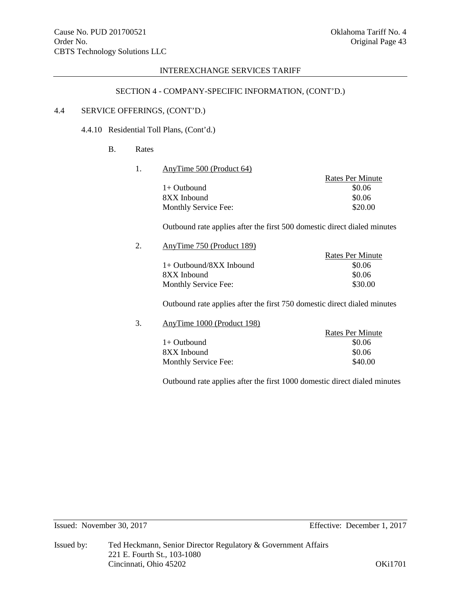# SECTION 4 - COMPANY-SPECIFIC INFORMATION, (CONT'D.)

# 4.4 SERVICE OFFERINGS, (CONT'D.)

4.4.10 Residential Toll Plans, (Cont'd.)

# B. Rates

1. AnyTime 500 (Product 64)

|                      | Rates Per Minute |
|----------------------|------------------|
| $1+$ Outbound        | \$0.06           |
| 8XX Inbound          | \$0.06           |
| Monthly Service Fee: | \$20.00          |

Outbound rate applies after the first 500 domestic direct dialed minutes

2. AnyTime 750 (Product 189)

|                           | Rates Per Minute |
|---------------------------|------------------|
| $1+$ Outbound/8XX Inbound | \$0.06           |
| 8XX Inbound               | \$0.06           |
| Monthly Service Fee:      | \$30.00          |

Outbound rate applies after the first 750 domestic direct dialed minutes

# 3. AnyTime 1000 (Product 198)

|                      | <b>Rates Per Minute</b> |
|----------------------|-------------------------|
| $1+$ Outbound        | \$0.06                  |
| 8XX Inbound          | \$0.06                  |
| Monthly Service Fee: | \$40.00                 |

Outbound rate applies after the first 1000 domestic direct dialed minutes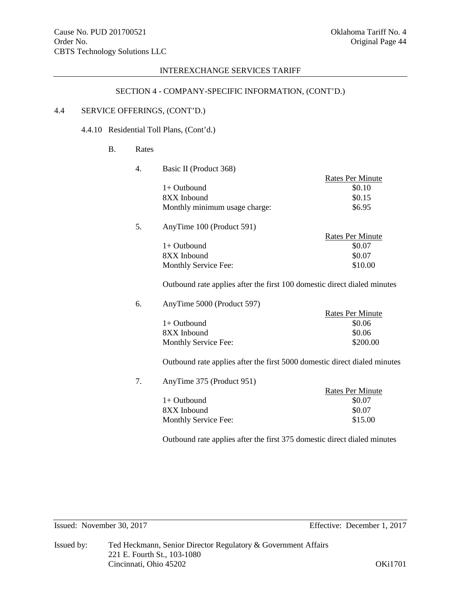# SECTION 4 - COMPANY-SPECIFIC INFORMATION, (CONT'D.)

# 4.4 SERVICE OFFERINGS, (CONT'D.)

4.4.10 Residential Toll Plans, (Cont'd.)

# B. Rates

4. Basic II (Product 368)

|                               | <b>Rates Per Minute</b> |
|-------------------------------|-------------------------|
| $1+$ Outbound                 | \$0.10                  |
| 8XX Inbound                   | \$0.15                  |
| Monthly minimum usage charge: | \$6.95                  |
|                               |                         |

5. AnyTime 100 (Product 591)

| Rates Per Minute |
|------------------|
| \$0.07           |
| \$0.07           |
| \$10.00          |
|                  |

Outbound rate applies after the first 100 domestic direct dialed minutes

6. AnyTime 5000 (Product 597)

|                      | Rates Per Minute |
|----------------------|------------------|
| $1+$ Outbound        | \$0.06           |
| 8XX Inbound          | \$0.06           |
| Monthly Service Fee: | \$200.00         |

Outbound rate applies after the first 5000 domestic direct dialed minutes

7. AnyTime 375 (Product 951)

| .                    |                  |
|----------------------|------------------|
|                      | Rates Per Minute |
| $1+$ Outbound        | \$0.07           |
| 8XX Inbound          | \$0.07           |
| Monthly Service Fee: | \$15.00          |
|                      |                  |

Outbound rate applies after the first 375 domestic direct dialed minutes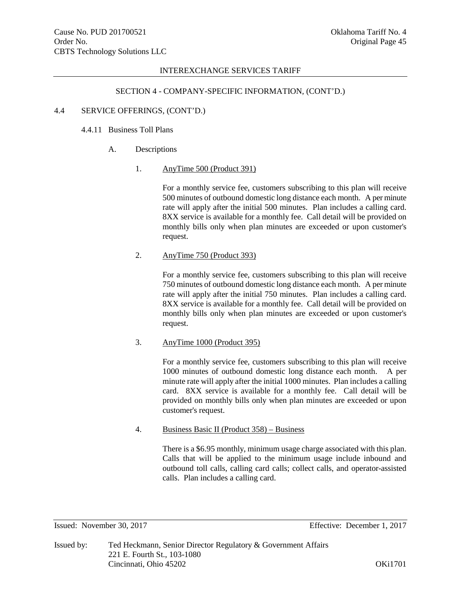### SECTION 4 - COMPANY-SPECIFIC INFORMATION, (CONT'D.)

### 4.4 SERVICE OFFERINGS, (CONT'D.)

# 4.4.11 Business Toll Plans

#### A. Descriptions

#### 1. AnyTime 500 (Product 391)

For a monthly service fee, customers subscribing to this plan will receive 500 minutes of outbound domestic long distance each month. A per minute rate will apply after the initial 500 minutes. Plan includes a calling card. 8XX service is available for a monthly fee. Call detail will be provided on monthly bills only when plan minutes are exceeded or upon customer's request.

## 2. AnyTime 750 (Product 393)

For a monthly service fee, customers subscribing to this plan will receive 750 minutes of outbound domestic long distance each month. A per minute rate will apply after the initial 750 minutes. Plan includes a calling card. 8XX service is available for a monthly fee. Call detail will be provided on monthly bills only when plan minutes are exceeded or upon customer's request.

## 3. AnyTime 1000 (Product 395)

For a monthly service fee, customers subscribing to this plan will receive 1000 minutes of outbound domestic long distance each month. A per minute rate will apply after the initial 1000 minutes. Plan includes a calling card. 8XX service is available for a monthly fee. Call detail will be provided on monthly bills only when plan minutes are exceeded or upon customer's request.

## 4. Business Basic II (Product 358) – Business

There is a \$6.95 monthly, minimum usage charge associated with this plan. Calls that will be applied to the minimum usage include inbound and outbound toll calls, calling card calls; collect calls, and operator-assisted calls. Plan includes a calling card.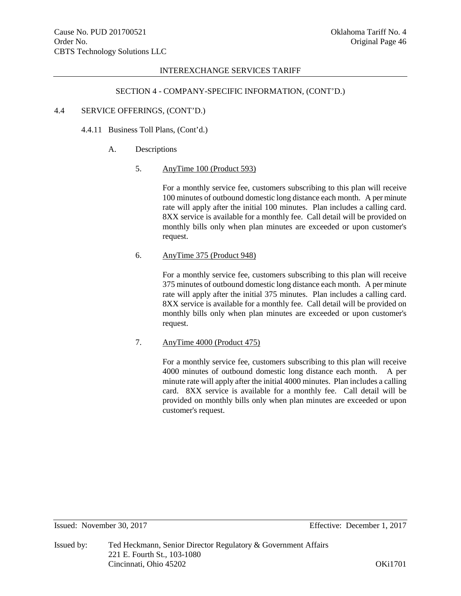### SECTION 4 - COMPANY-SPECIFIC INFORMATION, (CONT'D.)

### 4.4 SERVICE OFFERINGS, (CONT'D.)

## 4.4.11 Business Toll Plans, (Cont'd.)

#### A. Descriptions

#### 5. AnyTime 100 (Product 593)

For a monthly service fee, customers subscribing to this plan will receive 100 minutes of outbound domestic long distance each month. A per minute rate will apply after the initial 100 minutes. Plan includes a calling card. 8XX service is available for a monthly fee. Call detail will be provided on monthly bills only when plan minutes are exceeded or upon customer's request.

#### 6. AnyTime 375 (Product 948)

For a monthly service fee, customers subscribing to this plan will receive 375 minutes of outbound domestic long distance each month. A per minute rate will apply after the initial 375 minutes. Plan includes a calling card. 8XX service is available for a monthly fee. Call detail will be provided on monthly bills only when plan minutes are exceeded or upon customer's request.

## 7. AnyTime 4000 (Product 475)

For a monthly service fee, customers subscribing to this plan will receive 4000 minutes of outbound domestic long distance each month. A per minute rate will apply after the initial 4000 minutes. Plan includes a calling card. 8XX service is available for a monthly fee. Call detail will be provided on monthly bills only when plan minutes are exceeded or upon customer's request.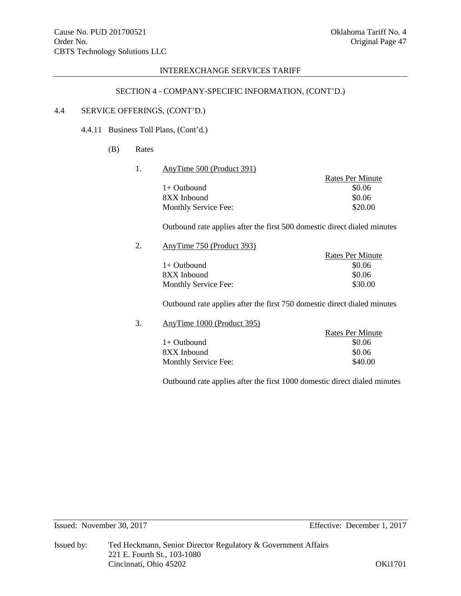# SECTION 4 - COMPANY-SPECIFIC INFORMATION, (CONT'D.)

# 4.4 SERVICE OFFERINGS, (CONT'D.)

# 4.4.11 Business Toll Plans, (Cont'd.)

# (B) Rates

#### 1. AnyTime 500 (Product 391)

|                      | Rates Per Minute |
|----------------------|------------------|
| $1+$ Outbound        | \$0.06           |
| 8XX Inbound          | \$0.06           |
| Monthly Service Fee: | \$20.00          |

Outbound rate applies after the first 500 domestic direct dialed minutes

2. AnyTime 750 (Product 393)

|                      | Rates Per Minute |
|----------------------|------------------|
| $1+$ Outbound        | \$0.06           |
| 8XX Inbound          | \$0.06           |
| Monthly Service Fee: | \$30.00          |

Outbound rate applies after the first 750 domestic direct dialed minutes

# 3. AnyTime 1000 (Product 395)

|                      | <b>Rates Per Minute</b> |
|----------------------|-------------------------|
| $1+$ Outbound        | \$0.06                  |
| 8XX Inbound          | \$0.06                  |
| Monthly Service Fee: | \$40.00                 |

Outbound rate applies after the first 1000 domestic direct dialed minutes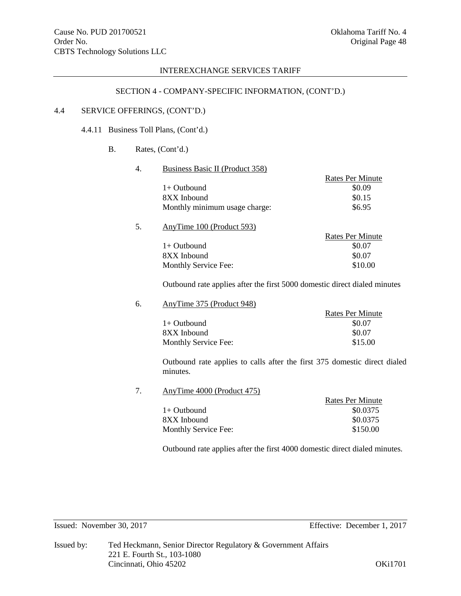# SECTION 4 - COMPANY-SPECIFIC INFORMATION, (CONT'D.)

# 4.4 SERVICE OFFERINGS, (CONT'D.)

4.4.11 Business Toll Plans, (Cont'd.)

# B. Rates, (Cont'd.)

#### 4. Business Basic II (Product 358)

|                               | Rates Per Minute |
|-------------------------------|------------------|
| $1+$ Outbound                 | \$0.09           |
| 8XX Inbound                   | \$0.15           |
| Monthly minimum usage charge: | \$6.95           |

# 5. AnyTime 100 (Product 593)

| Rates Per Minute |
|------------------|
| \$0.07           |
| \$0.07           |
| \$10.00          |
|                  |

Outbound rate applies after the first 5000 domestic direct dialed minutes

6. AnyTime 375 (Product 948)

|                      | Rates Per Minute |
|----------------------|------------------|
| $1+$ Outbound        | \$0.07           |
| 8XX Inbound          | \$0.07           |
| Monthly Service Fee: | \$15.00          |
|                      |                  |

Outbound rate applies to calls after the first 375 domestic direct dialed minutes.

7. AnyTime 4000 (Product 475)

|                      | <b>Rates Per Minute</b> |
|----------------------|-------------------------|
| $1+$ Outbound        | \$0.0375                |
| 8XX Inbound          | \$0.0375                |
| Monthly Service Fee: | \$150.00                |

Outbound rate applies after the first 4000 domestic direct dialed minutes.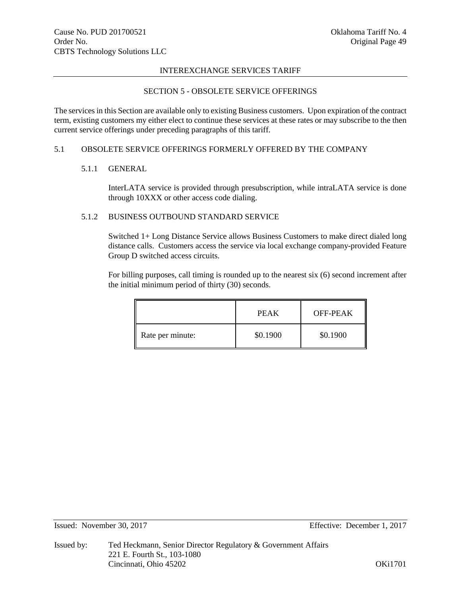# SECTION 5 - OBSOLETE SERVICE OFFERINGS

The services in this Section are available only to existing Business customers. Upon expiration of the contract term, existing customers my either elect to continue these services at these rates or may subscribe to the then current service offerings under preceding paragraphs of this tariff.

# 5.1 OBSOLETE SERVICE OFFERINGS FORMERLY OFFERED BY THE COMPANY

# 5.1.1 GENERAL

InterLATA service is provided through presubscription, while intraLATA service is done through 10XXX or other access code dialing.

# 5.1.2 BUSINESS OUTBOUND STANDARD SERVICE

Switched 1+ Long Distance Service allows Business Customers to make direct dialed long distance calls. Customers access the service via local exchange company-provided Feature Group D switched access circuits.

For billing purposes, call timing is rounded up to the nearest six (6) second increment after the initial minimum period of thirty (30) seconds.

|                  | PEAK     | OFF-PEAK |
|------------------|----------|----------|
| Rate per minute: | \$0.1900 | \$0.1900 |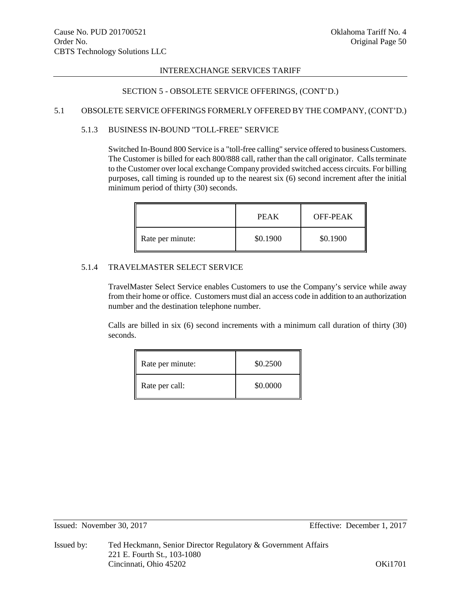# SECTION 5 - OBSOLETE SERVICE OFFERINGS, (CONT'D.)

# 5.1 OBSOLETE SERVICE OFFERINGS FORMERLY OFFERED BY THE COMPANY, (CONT'D.)

# 5.1.3 BUSINESS IN-BOUND "TOLL-FREE" SERVICE

Switched In-Bound 800 Service is a "toll-free calling" service offered to business Customers. The Customer is billed for each 800/888 call, rather than the call originator. Calls terminate to the Customer over local exchange Company provided switched access circuits. For billing purposes, call timing is rounded up to the nearest six (6) second increment after the initial minimum period of thirty (30) seconds.

|                  | PEAK     | OFF-PEAK |
|------------------|----------|----------|
| Rate per minute: | \$0.1900 | \$0.1900 |

# 5.1.4 TRAVELMASTER SELECT SERVICE

TravelMaster Select Service enables Customers to use the Company's service while away from their home or office. Customers must dial an access code in addition to an authorization number and the destination telephone number.

Calls are billed in six (6) second increments with a minimum call duration of thirty (30) seconds.

| Rate per minute: | \$0.2500 |
|------------------|----------|
| Rate per call:   | \$0.0000 |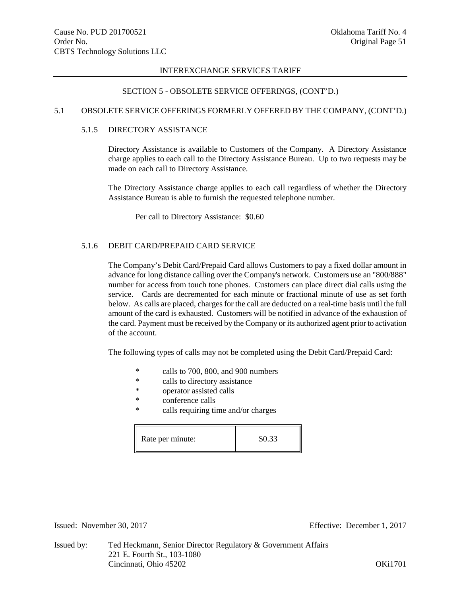## SECTION 5 - OBSOLETE SERVICE OFFERINGS, (CONT'D.)

## 5.1 OBSOLETE SERVICE OFFERINGS FORMERLY OFFERED BY THE COMPANY, (CONT'D.)

# 5.1.5 DIRECTORY ASSISTANCE

Directory Assistance is available to Customers of the Company. A Directory Assistance charge applies to each call to the Directory Assistance Bureau. Up to two requests may be made on each call to Directory Assistance.

The Directory Assistance charge applies to each call regardless of whether the Directory Assistance Bureau is able to furnish the requested telephone number.

Per call to Directory Assistance: \$0.60

## 5.1.6 DEBIT CARD/PREPAID CARD SERVICE

The Company's Debit Card/Prepaid Card allows Customers to pay a fixed dollar amount in advance for long distance calling over the Company's network. Customers use an "800/888" number for access from touch tone phones. Customers can place direct dial calls using the service. Cards are decremented for each minute or fractional minute of use as set forth below. As calls are placed, charges for the call are deducted on a real-time basis until the full amount of the card is exhausted. Customers will be notified in advance of the exhaustion of the card. Payment must be received by the Company or its authorized agent prior to activation of the account.

The following types of calls may not be completed using the Debit Card/Prepaid Card:

- \* calls to 700, 800, and 900 numbers<br>  $\frac{1}{2}$  calls to directory assistance
- calls to directory assistance
- \* operator assisted calls
- \* conference calls
- \* calls requiring time and/or charges

| Rate per minute: | \$0.33 |
|------------------|--------|
|------------------|--------|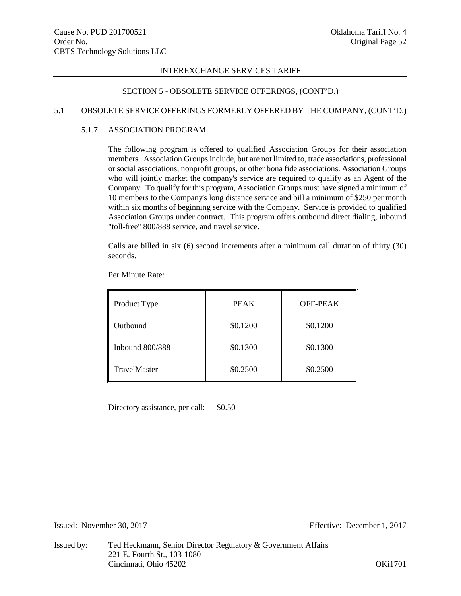# SECTION 5 - OBSOLETE SERVICE OFFERINGS, (CONT'D.)

# 5.1 OBSOLETE SERVICE OFFERINGS FORMERLY OFFERED BY THE COMPANY, (CONT'D.)

# 5.1.7 ASSOCIATION PROGRAM

The following program is offered to qualified Association Groups for their association members. Association Groups include, but are not limited to, trade associations, professional or social associations, nonprofit groups, or other bona fide associations. Association Groups who will jointly market the company's service are required to qualify as an Agent of the Company. To qualify for this program, Association Groups must have signed a minimum of 10 members to the Company's long distance service and bill a minimum of \$250 per month within six months of beginning service with the Company. Service is provided to qualified Association Groups under contract. This program offers outbound direct dialing, inbound "toll-free" 800/888 service, and travel service.

Calls are billed in six (6) second increments after a minimum call duration of thirty (30) seconds.

| Product Type        | <b>PEAK</b> | OFF-PEAK |  |
|---------------------|-------------|----------|--|
| Outbound            | \$0.1200    | \$0.1200 |  |
| Inbound $800/888$   | \$0.1300    | \$0.1300 |  |
| <b>TravelMaster</b> | \$0.2500    | \$0.2500 |  |

Per Minute Rate:

Directory assistance, per call: \$0.50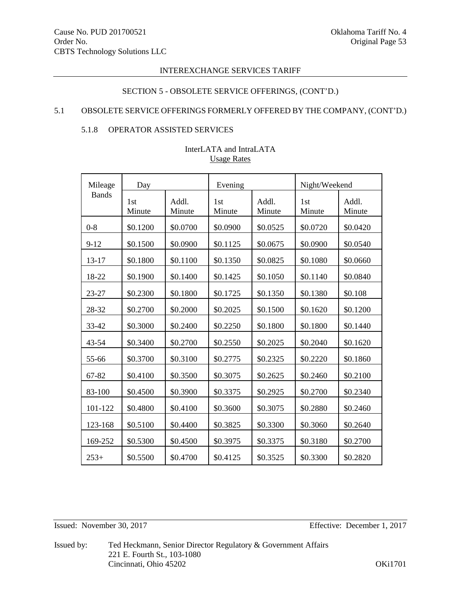# SECTION 5 - OBSOLETE SERVICE OFFERINGS, (CONT'D.)

# 5.1 OBSOLETE SERVICE OFFERINGS FORMERLY OFFERED BY THE COMPANY, (CONT'D.)

# 5.1.8 OPERATOR ASSISTED SERVICES

| Mileage      | Day           |                 | Evening       |                 | Night/Weekend |                 |
|--------------|---------------|-----------------|---------------|-----------------|---------------|-----------------|
| <b>Bands</b> | 1st<br>Minute | Addl.<br>Minute | 1st<br>Minute | Addl.<br>Minute | 1st<br>Minute | Addl.<br>Minute |
| $0 - 8$      | \$0.1200      | \$0.0700        | \$0.0900      | \$0.0525        | \$0.0720      | \$0.0420        |
| $9 - 12$     | \$0.1500      | \$0.0900        | \$0.1125      | \$0.0675        | \$0.0900      | \$0.0540        |
| $13 - 17$    | \$0.1800      | \$0.1100        | \$0.1350      | \$0.0825        | \$0.1080      | \$0.0660        |
| 18-22        | \$0.1900      | \$0.1400        | \$0.1425      | \$0.1050        | \$0.1140      | \$0.0840        |
| 23-27        | \$0.2300      | \$0.1800        | \$0.1725      | \$0.1350        | \$0.1380      | \$0.108         |
| 28-32        | \$0.2700      | \$0.2000        | \$0.2025      | \$0.1500        | \$0.1620      | \$0.1200        |
| 33-42        | \$0.3000      | \$0.2400        | \$0.2250      | \$0.1800        | \$0.1800      | \$0.1440        |
| 43-54        | \$0.3400      | \$0.2700        | \$0.2550      | \$0.2025        | \$0.2040      | \$0.1620        |
| 55-66        | \$0.3700      | \$0.3100        | \$0.2775      | \$0.2325        | \$0.2220      | \$0.1860        |
| 67-82        | \$0.4100      | \$0.3500        | \$0.3075      | \$0.2625        | \$0.2460      | \$0.2100        |
| 83-100       | \$0.4500      | \$0.3900        | \$0.3375      | \$0.2925        | \$0.2700      | \$0.2340        |
| 101-122      | \$0.4800      | \$0.4100        | \$0.3600      | \$0.3075        | \$0.2880      | \$0.2460        |
| 123-168      | \$0.5100      | \$0.4400        | \$0.3825      | \$0.3300        | \$0.3060      | \$0.2640        |
| 169-252      | \$0.5300      | \$0.4500        | \$0.3975      | \$0.3375        | \$0.3180      | \$0.2700        |
| $253+$       | \$0.5500      | \$0.4700        | \$0.4125      | \$0.3525        | \$0.3300      | \$0.2820        |

# InterLATA and IntraLATA Usage Rates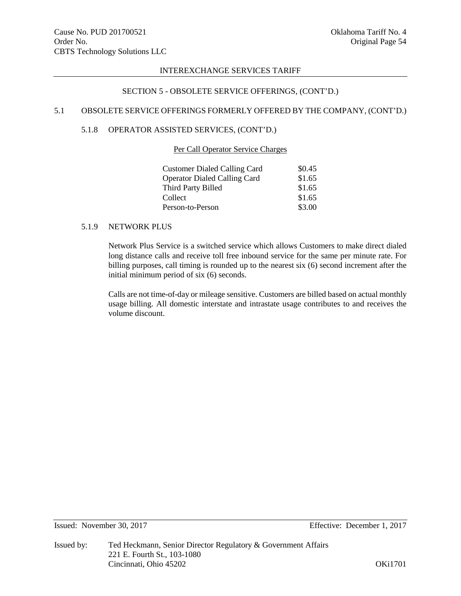# SECTION 5 - OBSOLETE SERVICE OFFERINGS, (CONT'D.)

# 5.1 OBSOLETE SERVICE OFFERINGS FORMERLY OFFERED BY THE COMPANY, (CONT'D.)

# 5.1.8 OPERATOR ASSISTED SERVICES, (CONT'D.)

## Per Call Operator Service Charges

| \$0.45 |
|--------|
| \$1.65 |
| \$1.65 |
| \$1.65 |
| \$3.00 |
|        |

## 5.1.9 NETWORK PLUS

Network Plus Service is a switched service which allows Customers to make direct dialed long distance calls and receive toll free inbound service for the same per minute rate. For billing purposes, call timing is rounded up to the nearest six (6) second increment after the initial minimum period of six (6) seconds.

Calls are not time-of-day or mileage sensitive. Customers are billed based on actual monthly usage billing. All domestic interstate and intrastate usage contributes to and receives the volume discount.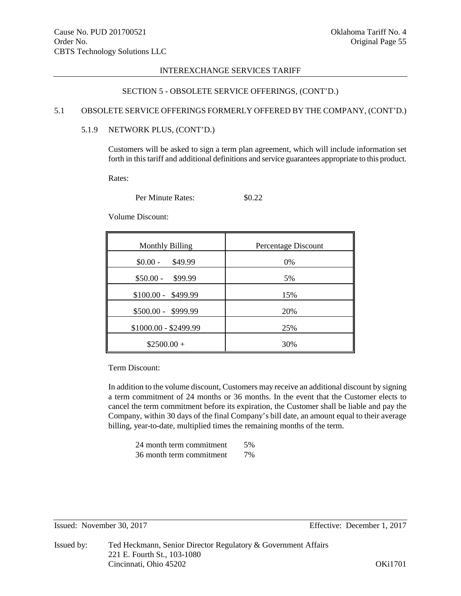# SECTION 5 - OBSOLETE SERVICE OFFERINGS, (CONT'D.)

## 5.1 OBSOLETE SERVICE OFFERINGS FORMERLY OFFERED BY THE COMPANY, (CONT'D.)

# 5.1.9 NETWORK PLUS, (CONT'D.)

Customers will be asked to sign a term plan agreement, which will include information set forth in this tariff and additional definitions and service guarantees appropriate to this product.

Rates:

Per Minute Rates:  $$0.22$ 

Volume Discount:

| <b>Monthly Billing</b> | Percentage Discount |
|------------------------|---------------------|
| $$0.00 -$<br>\$49.99   | 0%                  |
| $$50.00 -$<br>\$99.99  | 5%                  |
| $$100.00 - $499.99$    | 15%                 |
| \$500.00 - \$999.99    | 20%                 |
| \$1000.00 - \$2499.99  | 25%                 |
| $$2500.00+$            | 30%                 |

Term Discount:

In addition to the volume discount, Customers may receive an additional discount by signing a term commitment of 24 months or 36 months. In the event that the Customer elects to cancel the term commitment before its expiration, the Customer shall be liable and pay the Company, within 30 days of the final Company's bill date, an amount equal to their average billing, year-to-date, multiplied times the remaining months of the term.

24 month term commitment 5% 36 month term commitment 7%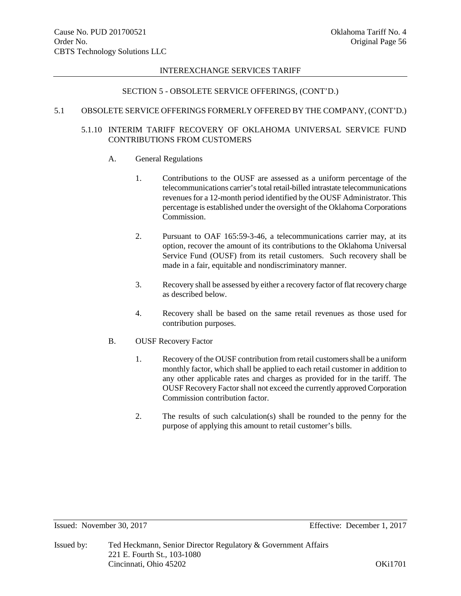# SECTION 5 - OBSOLETE SERVICE OFFERINGS, (CONT'D.)

## 5.1 OBSOLETE SERVICE OFFERINGS FORMERLY OFFERED BY THE COMPANY, (CONT'D.)

# 5.1.10 INTERIM TARIFF RECOVERY OF OKLAHOMA UNIVERSAL SERVICE FUND CONTRIBUTIONS FROM CUSTOMERS

# A. General Regulations

- 1. Contributions to the OUSF are assessed as a uniform percentage of the telecommunications carrier'stotal retail-billed intrastate telecommunications revenues for a 12-month period identified by the OUSF Administrator. This percentage is established under the oversight of the Oklahoma Corporations Commission.
- 2. Pursuant to OAF 165:59-3-46, a telecommunications carrier may, at its option, recover the amount of its contributions to the Oklahoma Universal Service Fund (OUSF) from its retail customers. Such recovery shall be made in a fair, equitable and nondiscriminatory manner.
- 3. Recovery shall be assessed by either a recovery factor of flat recovery charge as described below.
- 4. Recovery shall be based on the same retail revenues as those used for contribution purposes.
- B. OUSF Recovery Factor
	- 1. Recovery of the OUSF contribution from retail customers shall be a uniform monthly factor, which shall be applied to each retail customer in addition to any other applicable rates and charges as provided for in the tariff. The OUSF Recovery Factor shall not exceed the currently approved Corporation Commission contribution factor.
	- 2. The results of such calculation(s) shall be rounded to the penny for the purpose of applying this amount to retail customer's bills.